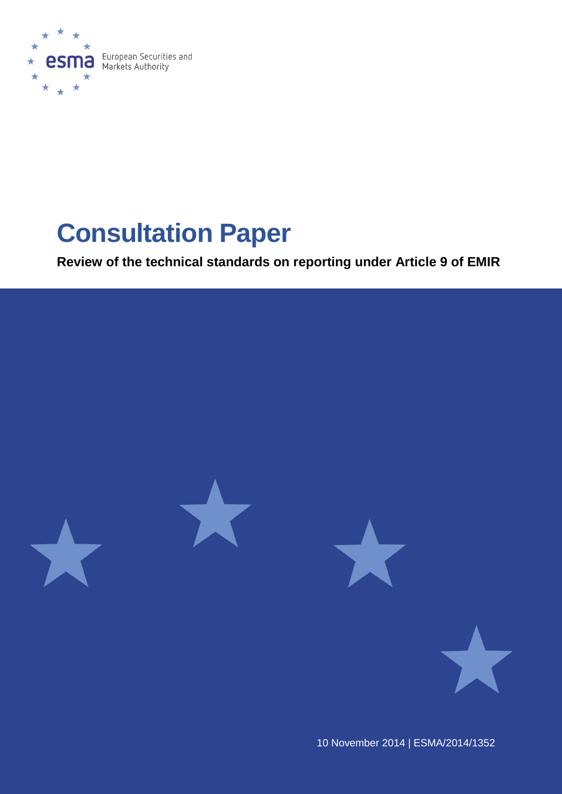

# **Consultation Paper**

**Review of the technical standards on reporting under Article 9 of EMIR**



10 November 2014 | ESMA/2014/1352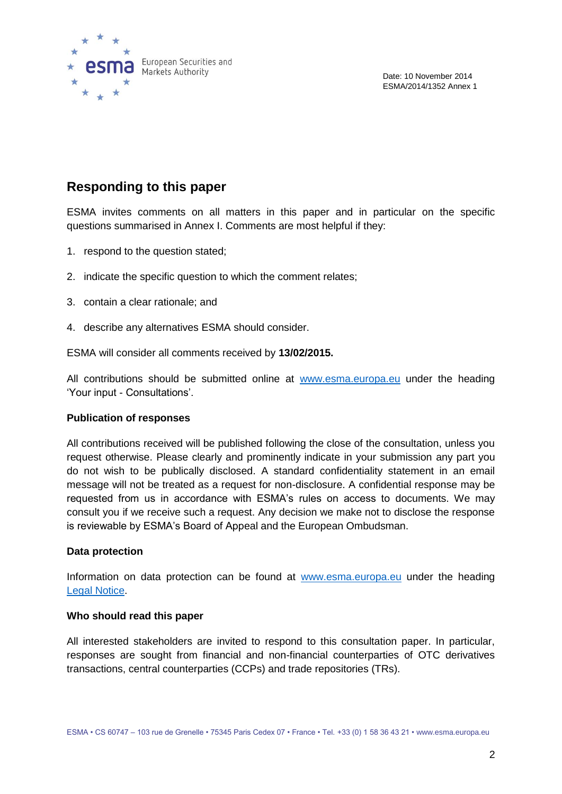

## **Responding to this paper**

ESMA invites comments on all matters in this paper and in particular on the specific questions summarised in Annex I. Comments are most helpful if they:

- 1. respond to the question stated;
- 2. indicate the specific question to which the comment relates;
- 3. contain a clear rationale; and
- 4. describe any alternatives ESMA should consider.

ESMA will consider all comments received by **13/02/2015.** 

All contributions should be submitted online at [www.esma.europa.eu](http://www.esma.europa.eu/) under the heading ‗Your input - Consultations'.

#### **Publication of responses**

All contributions received will be published following the close of the consultation, unless you request otherwise. Please clearly and prominently indicate in your submission any part you do not wish to be publically disclosed. A standard confidentiality statement in an email message will not be treated as a request for non-disclosure. A confidential response may be requested from us in accordance with ESMA's rules on access to documents. We may consult you if we receive such a request. Any decision we make not to disclose the response is reviewable by ESMA's Board of Appeal and the European Ombudsman.

#### **Data protection**

Information on data protection can be found at [www.esma.europa.eu](http://www.esma.europa.eu/) under the heading [Legal Notice.](http://www.esma.europa.eu/legal-notice)

#### **Who should read this paper**

All interested stakeholders are invited to respond to this consultation paper. In particular, responses are sought from financial and non-financial counterparties of OTC derivatives transactions, central counterparties (CCPs) and trade repositories (TRs).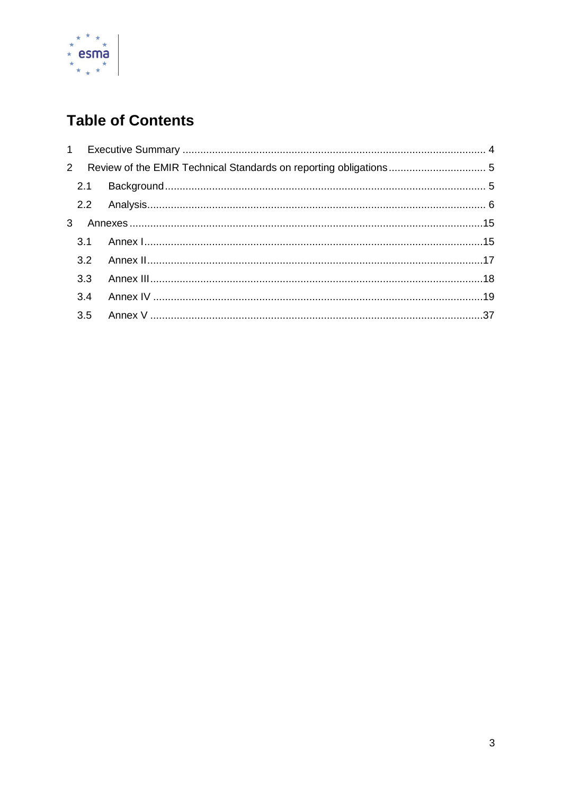

# **Table of Contents**

| 3.3<br>3.4 | 2 Review of the EMIR Technical Standards on reporting obligations 5 |
|------------|---------------------------------------------------------------------|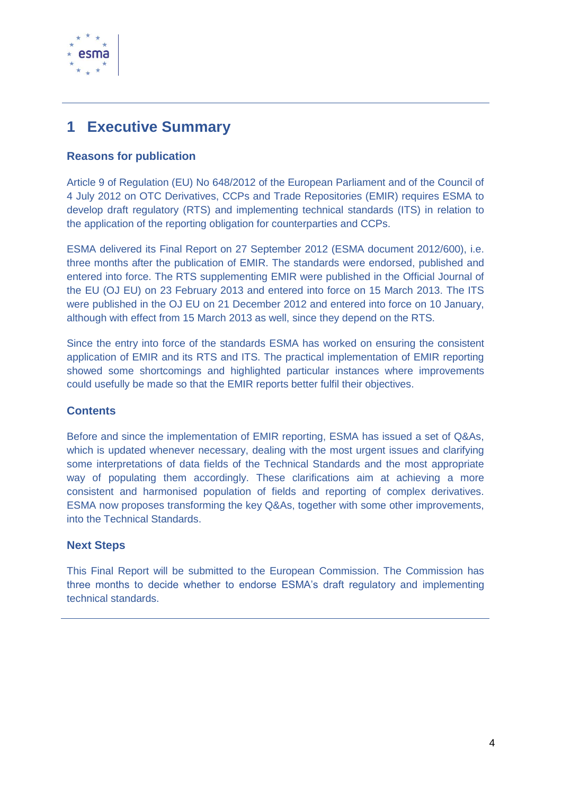

## <span id="page-3-0"></span>**1 Executive Summary**

#### **Reasons for publication**

Article 9 of Regulation (EU) No 648/2012 of the European Parliament and of the Council of 4 July 2012 on OTC Derivatives, CCPs and Trade Repositories (EMIR) requires ESMA to develop draft regulatory (RTS) and implementing technical standards (ITS) in relation to the application of the reporting obligation for counterparties and CCPs.

ESMA delivered its Final Report on 27 September 2012 (ESMA document 2012/600), i.e. three months after the publication of EMIR. The standards were endorsed, published and entered into force. The RTS supplementing EMIR were published in the Official Journal of the EU (OJ EU) on 23 February 2013 and entered into force on 15 March 2013. The ITS were published in the OJ EU on 21 December 2012 and entered into force on 10 January, although with effect from 15 March 2013 as well, since they depend on the RTS.

Since the entry into force of the standards ESMA has worked on ensuring the consistent application of EMIR and its RTS and ITS. The practical implementation of EMIR reporting showed some shortcomings and highlighted particular instances where improvements could usefully be made so that the EMIR reports better fulfil their objectives.

#### **Contents**

Before and since the implementation of EMIR reporting, ESMA has issued a set of Q&As, which is updated whenever necessary, dealing with the most urgent issues and clarifying some interpretations of data fields of the Technical Standards and the most appropriate way of populating them accordingly. These clarifications aim at achieving a more consistent and harmonised population of fields and reporting of complex derivatives. ESMA now proposes transforming the key Q&As, together with some other improvements, into the Technical Standards.

#### **Next Steps**

This Final Report will be submitted to the European Commission. The Commission has three months to decide whether to endorse ESMA's draft regulatory and implementing technical standards.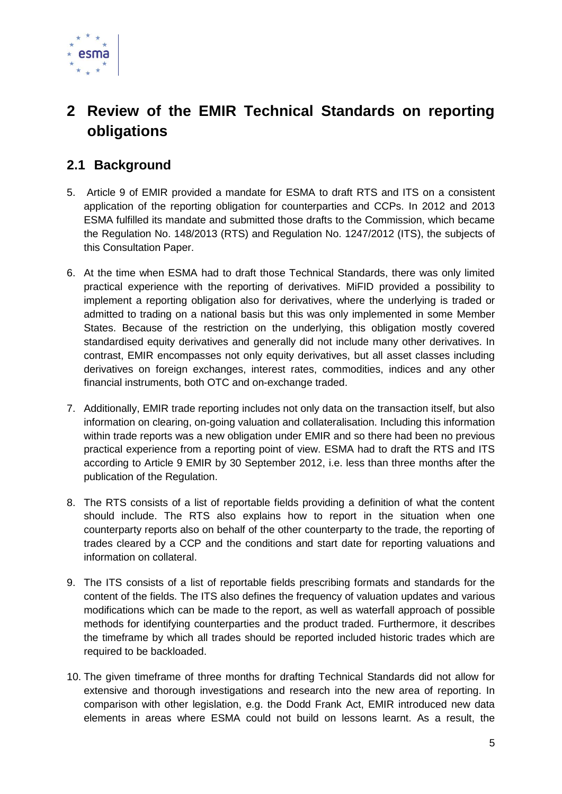

# <span id="page-4-0"></span>**2 Review of the EMIR Technical Standards on reporting obligations**

## <span id="page-4-1"></span>**2.1 Background**

- 5. Article 9 of EMIR provided a mandate for ESMA to draft RTS and ITS on a consistent application of the reporting obligation for counterparties and CCPs. In 2012 and 2013 ESMA fulfilled its mandate and submitted those drafts to the Commission, which became the Regulation No. 148/2013 (RTS) and Regulation No. 1247/2012 (ITS), the subjects of this Consultation Paper.
- 6. At the time when ESMA had to draft those Technical Standards, there was only limited practical experience with the reporting of derivatives. MiFID provided a possibility to implement a reporting obligation also for derivatives, where the underlying is traded or admitted to trading on a national basis but this was only implemented in some Member States. Because of the restriction on the underlying, this obligation mostly covered standardised equity derivatives and generally did not include many other derivatives. In contrast, EMIR encompasses not only equity derivatives, but all asset classes including derivatives on foreign exchanges, interest rates, commodities, indices and any other financial instruments, both OTC and on-exchange traded.
- 7. Additionally, EMIR trade reporting includes not only data on the transaction itself, but also information on clearing, on-going valuation and collateralisation. Including this information within trade reports was a new obligation under EMIR and so there had been no previous practical experience from a reporting point of view. ESMA had to draft the RTS and ITS according to Article 9 EMIR by 30 September 2012, i.e. less than three months after the publication of the Regulation.
- 8. The RTS consists of a list of reportable fields providing a definition of what the content should include. The RTS also explains how to report in the situation when one counterparty reports also on behalf of the other counterparty to the trade, the reporting of trades cleared by a CCP and the conditions and start date for reporting valuations and information on collateral.
- 9. The ITS consists of a list of reportable fields prescribing formats and standards for the content of the fields. The ITS also defines the frequency of valuation updates and various modifications which can be made to the report, as well as waterfall approach of possible methods for identifying counterparties and the product traded. Furthermore, it describes the timeframe by which all trades should be reported included historic trades which are required to be backloaded.
- 10. The given timeframe of three months for drafting Technical Standards did not allow for extensive and thorough investigations and research into the new area of reporting. In comparison with other legislation, e.g. the Dodd Frank Act, EMIR introduced new data elements in areas where ESMA could not build on lessons learnt. As a result, the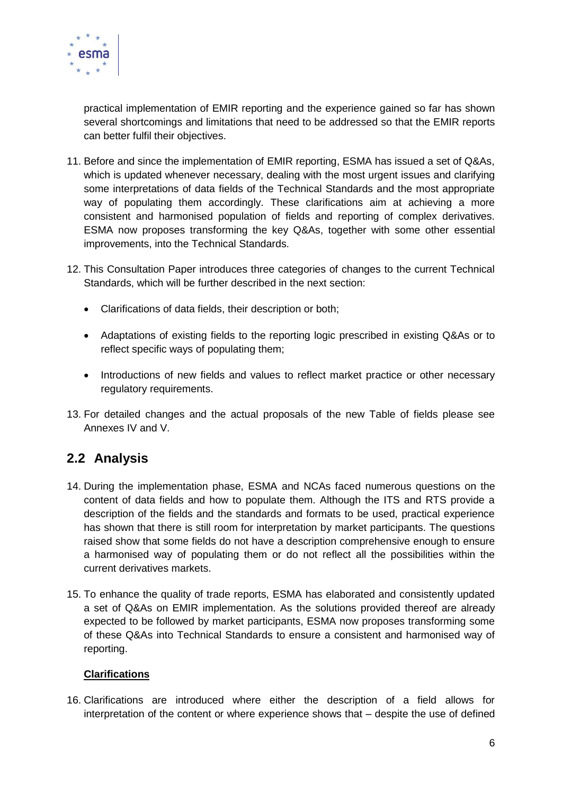

practical implementation of EMIR reporting and the experience gained so far has shown several shortcomings and limitations that need to be addressed so that the EMIR reports can better fulfil their objectives.

- 11. Before and since the implementation of EMIR reporting, ESMA has issued a set of Q&As, which is updated whenever necessary, dealing with the most urgent issues and clarifying some interpretations of data fields of the Technical Standards and the most appropriate way of populating them accordingly. These clarifications aim at achieving a more consistent and harmonised population of fields and reporting of complex derivatives. ESMA now proposes transforming the key Q&As, together with some other essential improvements, into the Technical Standards.
- 12. This Consultation Paper introduces three categories of changes to the current Technical Standards, which will be further described in the next section:
	- Clarifications of data fields, their description or both;
	- Adaptations of existing fields to the reporting logic prescribed in existing Q&As or to reflect specific ways of populating them;
	- Introductions of new fields and values to reflect market practice or other necessary regulatory requirements.
- 13. For detailed changes and the actual proposals of the new Table of fields please see Annexes IV and V.

## <span id="page-5-0"></span>**2.2 Analysis**

- 14. During the implementation phase, ESMA and NCAs faced numerous questions on the content of data fields and how to populate them. Although the ITS and RTS provide a description of the fields and the standards and formats to be used, practical experience has shown that there is still room for interpretation by market participants. The questions raised show that some fields do not have a description comprehensive enough to ensure a harmonised way of populating them or do not reflect all the possibilities within the current derivatives markets.
- 15. To enhance the quality of trade reports, ESMA has elaborated and consistently updated a set of Q&As on EMIR implementation. As the solutions provided thereof are already expected to be followed by market participants, ESMA now proposes transforming some of these Q&As into Technical Standards to ensure a consistent and harmonised way of reporting.

#### **Clarifications**

16. Clarifications are introduced where either the description of a field allows for interpretation of the content or where experience shows that – despite the use of defined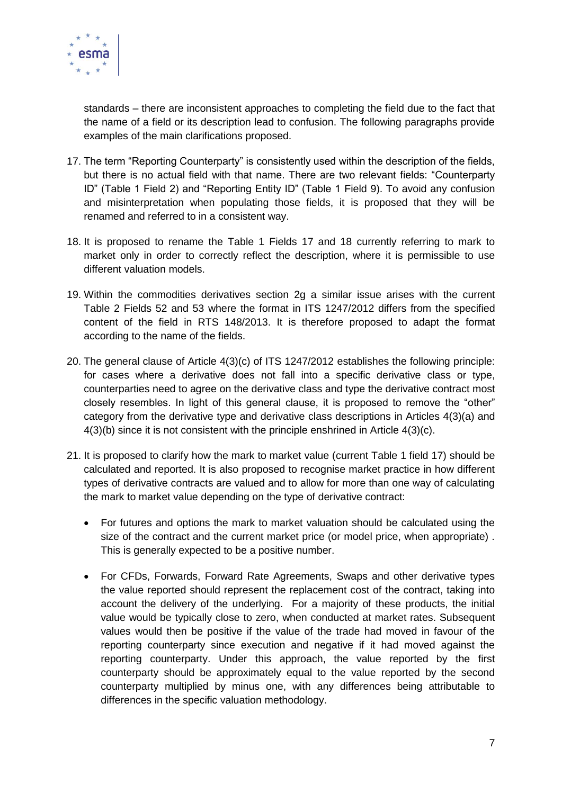

standards – there are inconsistent approaches to completing the field due to the fact that the name of a field or its description lead to confusion. The following paragraphs provide examples of the main clarifications proposed.

- 17. The term "Reporting Counterparty" is consistently used within the description of the fields, but there is no actual field with that name. There are two relevant fields: "Counterparty ID" (Table 1 Field 2) and "Reporting Entity ID" (Table 1 Field 9). To avoid any confusion and misinterpretation when populating those fields, it is proposed that they will be renamed and referred to in a consistent way.
- 18. It is proposed to rename the Table 1 Fields 17 and 18 currently referring to mark to market only in order to correctly reflect the description, where it is permissible to use different valuation models.
- 19. Within the commodities derivatives section 2g a similar issue arises with the current Table 2 Fields 52 and 53 where the format in ITS 1247/2012 differs from the specified content of the field in RTS 148/2013. It is therefore proposed to adapt the format according to the name of the fields.
- 20. The general clause of Article 4(3)(c) of ITS 1247/2012 establishes the following principle: for cases where a derivative does not fall into a specific derivative class or type, counterparties need to agree on the derivative class and type the derivative contract most closely resembles. In light of this general clause, it is proposed to remove the "other" category from the derivative type and derivative class descriptions in Articles 4(3)(a) and 4(3)(b) since it is not consistent with the principle enshrined in Article 4(3)(c).
- <span id="page-6-0"></span>21. It is proposed to clarify how the mark to market value (current Table 1 field 17) should be calculated and reported. It is also proposed to recognise market practice in how different types of derivative contracts are valued and to allow for more than one way of calculating the mark to market value depending on the type of derivative contract:
	- For futures and options the mark to market valuation should be calculated using the size of the contract and the current market price (or model price, when appropriate) . This is generally expected to be a positive number.
	- For CFDs, Forwards, Forward Rate Agreements, Swaps and other derivative types the value reported should represent the replacement cost of the contract, taking into account the delivery of the underlying. For a majority of these products, the initial value would be typically close to zero, when conducted at market rates. Subsequent values would then be positive if the value of the trade had moved in favour of the reporting counterparty since execution and negative if it had moved against the reporting counterparty. Under this approach, the value reported by the first counterparty should be approximately equal to the value reported by the second counterparty multiplied by minus one, with any differences being attributable to differences in the specific valuation methodology.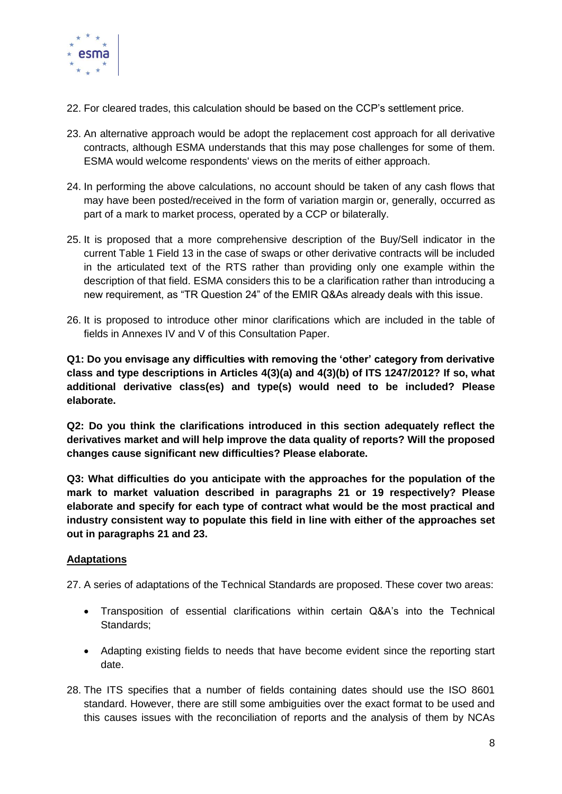

- 22. For cleared trades, this calculation should be based on the CCP's settlement price.
- <span id="page-7-0"></span>23. An alternative approach would be adopt the replacement cost approach for all derivative contracts, although ESMA understands that this may pose challenges for some of them. ESMA would welcome respondents' views on the merits of either approach.
- 24. In performing the above calculations, no account should be taken of any cash flows that may have been posted/received in the form of variation margin or, generally, occurred as part of a mark to market process, operated by a CCP or bilaterally.
- 25. It is proposed that a more comprehensive description of the Buy/Sell indicator in the current Table 1 Field 13 in the case of swaps or other derivative contracts will be included in the articulated text of the RTS rather than providing only one example within the description of that field. ESMA considers this to be a clarification rather than introducing a new requirement, as "TR Question 24" of the EMIR Q&As already deals with this issue.
- 26. It is proposed to introduce other minor clarifications which are included in the table of fields in Annexes IV and V of this Consultation Paper.

**Q1: Do you envisage any difficulties with removing the 'other' category from derivative class and type descriptions in Articles 4(3)(a) and 4(3)(b) of ITS 1247/2012? If so, what additional derivative class(es) and type(s) would need to be included? Please elaborate.**

**Q2: Do you think the clarifications introduced in this section adequately reflect the derivatives market and will help improve the data quality of reports? Will the proposed changes cause significant new difficulties? Please elaborate.**

**Q3: What difficulties do you anticipate with the approaches for the population of the mark to market valuation described in paragraphs [21](#page-6-0) or 19 respectively? Please elaborate and specify for each type of contract what would be the most practical and industry consistent way to populate this field in line with either of the approaches set out in paragraphs [21](#page-6-0) and [23.](#page-7-0)**

#### **Adaptations**

27. A series of adaptations of the Technical Standards are proposed. These cover two areas:

- Transposition of essential clarifications within certain Q&A's into the Technical Standards;
- Adapting existing fields to needs that have become evident since the reporting start date.
- 28. The ITS specifies that a number of fields containing dates should use the ISO 8601 standard. However, there are still some ambiguities over the exact format to be used and this causes issues with the reconciliation of reports and the analysis of them by NCAs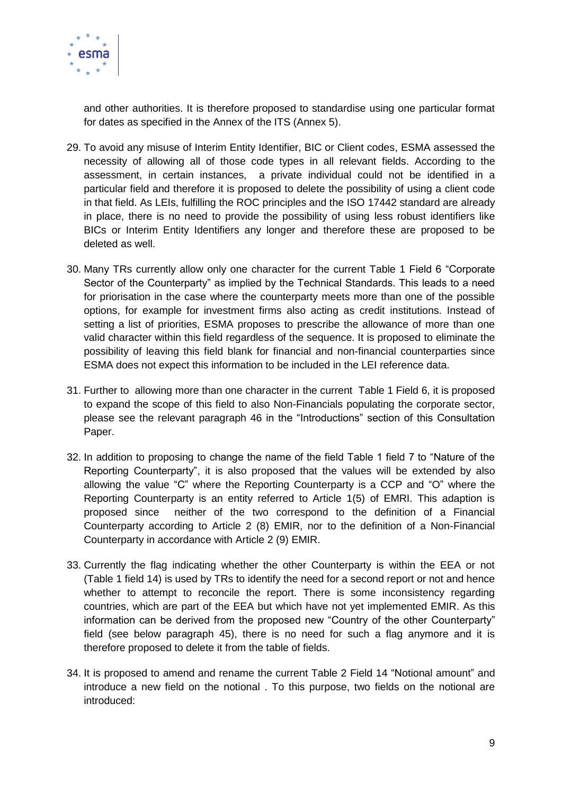

and other authorities. It is therefore proposed to standardise using one particular format for dates as specified in the Annex of the ITS (Annex 5).

- 29. To avoid any misuse of Interim Entity Identifier, BIC or Client codes, ESMA assessed the necessity of allowing all of those code types in all relevant fields. According to the assessment, in certain instances, a private individual could not be identified in a particular field and therefore it is proposed to delete the possibility of using a client code in that field. As LEIs, fulfilling the ROC principles and the ISO 17442 standard are already in place, there is no need to provide the possibility of using less robust identifiers like BICs or Interim Entity Identifiers any longer and therefore these are proposed to be deleted as well.
- 30. Many TRs currently allow only one character for the current Table 1 Field 6 "Corporate Sector of the Counterparty" as implied by the Technical Standards. This leads to a need for priorisation in the case where the counterparty meets more than one of the possible options, for example for investment firms also acting as credit institutions. Instead of setting a list of priorities, ESMA proposes to prescribe the allowance of more than one valid character within this field regardless of the sequence. It is proposed to eliminate the possibility of leaving this field blank for financial and non-financial counterparties since ESMA does not expect this information to be included in the LEI reference data.
- 31. Further to allowing more than one character in the current Table 1 Field 6, it is proposed to expand the scope of this field to also Non-Financials populating the corporate sector, please see the relevant paragraph [46](#page-11-0) in the "Introductions" section of this Consultation Paper.
- 32. In addition to proposing to change the name of the field Table 1 field 7 to "Nature of the Reporting Counterparty", it is also proposed that the values will be extended by also allowing the value "C" where the Reporting Counterparty is a CCP and "O" where the Reporting Counterparty is an entity referred to Article 1(5) of EMRI. This adaption is proposed since neither of the two correspond to the definition of a Financial Counterparty according to Article 2 (8) EMIR, nor to the definition of a Non-Financial Counterparty in accordance with Article 2 (9) EMIR.
- 33. Currently the flag indicating whether the other Counterparty is within the EEA or not (Table 1 field 14) is used by TRs to identify the need for a second report or not and hence whether to attempt to reconcile the report. There is some inconsistency regarding countries, which are part of the EEA but which have not yet implemented EMIR. As this information can be derived from the proposed new "Country of the other Counterparty" field (see below paragraph [45\)](#page-10-0), there is no need for such a flag anymore and it is therefore proposed to delete it from the table of fields.
- <span id="page-8-0"></span>34. It is proposed to amend and rename the current Table 2 Field 14 "Notional amount" and introduce a new field on the notional . To this purpose, two fields on the notional are introduced: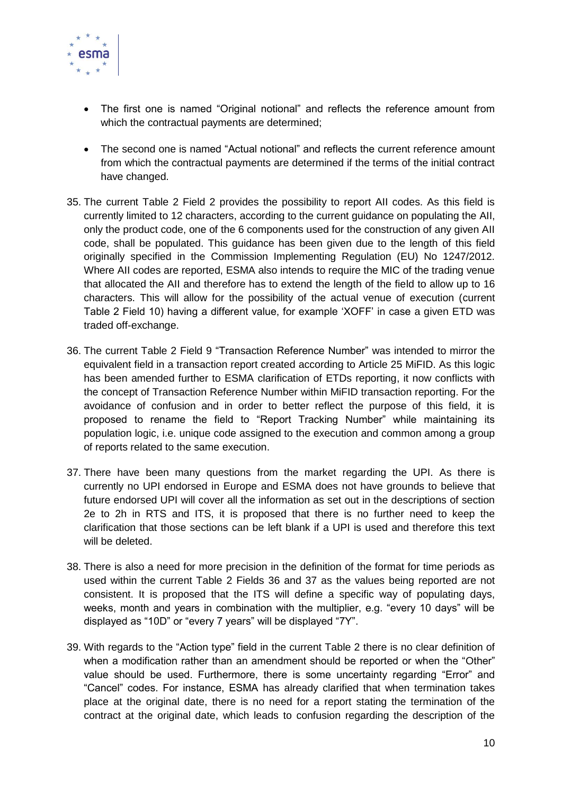

- The first one is named "Original notional" and reflects the reference amount from which the contractual payments are determined;
- The second one is named "Actual notional" and reflects the current reference amount from which the contractual payments are determined if the terms of the initial contract have changed.
- 35. The current Table 2 Field 2 provides the possibility to report AII codes. As this field is currently limited to 12 characters, according to the current guidance on populating the AII, only the product code, one of the 6 components used for the construction of any given AII code, shall be populated. This guidance has been given due to the length of this field originally specified in the Commission Implementing Regulation (EU) No 1247/2012. Where AII codes are reported, ESMA also intends to require the MIC of the trading venue that allocated the AII and therefore has to extend the length of the field to allow up to 16 characters. This will allow for the possibility of the actual venue of execution (current Table 2 Field 10) having a different value, for example 'XOFF' in case a given ETD was traded off-exchange.
- 36. The current Table 2 Field 9 "Transaction Reference Number" was intended to mirror the equivalent field in a transaction report created according to Article 25 MiFID. As this logic has been amended further to ESMA clarification of ETDs reporting, it now conflicts with the concept of Transaction Reference Number within MiFID transaction reporting. For the avoidance of confusion and in order to better reflect the purpose of this field, it is proposed to rename the field to "Report Tracking Number" while maintaining its population logic, i.e. unique code assigned to the execution and common among a group of reports related to the same execution.
- 37. There have been many questions from the market regarding the UPI. As there is currently no UPI endorsed in Europe and ESMA does not have grounds to believe that future endorsed UPI will cover all the information as set out in the descriptions of section 2e to 2h in RTS and ITS, it is proposed that there is no further need to keep the clarification that those sections can be left blank if a UPI is used and therefore this text will be deleted.
- 38. There is also a need for more precision in the definition of the format for time periods as used within the current Table 2 Fields 36 and 37 as the values being reported are not consistent. It is proposed that the ITS will define a specific way of populating days, weeks, month and years in combination with the multiplier, e.g. "every 10 days" will be displayed as "10D" or "every 7 years" will be displayed "7Y".
- 39. With regards to the "Action type" field in the current Table 2 there is no clear definition of when a modification rather than an amendment should be reported or when the "Other" value should be used. Furthermore, there is some uncertainty regarding "Error" and ―Cancel‖ codes. For instance, ESMA has already clarified that when termination takes place at the original date, there is no need for a report stating the termination of the contract at the original date, which leads to confusion regarding the description of the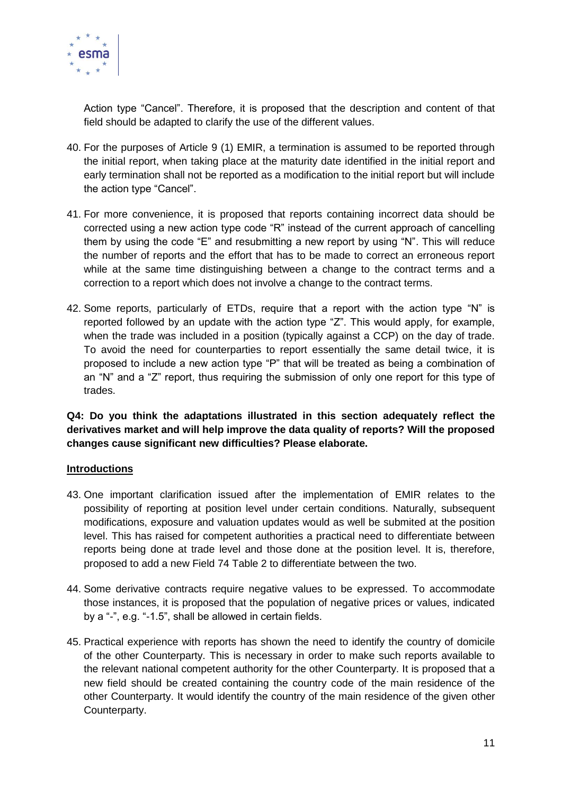

Action type "Cancel". Therefore, it is proposed that the description and content of that field should be adapted to clarify the use of the different values.

- 40. For the purposes of Article 9 (1) EMIR, a termination is assumed to be reported through the initial report, when taking place at the maturity date identified in the initial report and early termination shall not be reported as a modification to the initial report but will include the action type "Cancel".
- 41. For more convenience, it is proposed that reports containing incorrect data should be corrected using a new action type code "R" instead of the current approach of cancelling them by using the code "E" and resubmitting a new report by using "N". This will reduce the number of reports and the effort that has to be made to correct an erroneous report while at the same time distinguishing between a change to the contract terms and a correction to a report which does not involve a change to the contract terms.
- 42. Some reports, particularly of ETDs, require that a report with the action type "N" is reported followed by an update with the action type "Z". This would apply, for example, when the trade was included in a position (typically against a CCP) on the day of trade. To avoid the need for counterparties to report essentially the same detail twice, it is proposed to include a new action type "P" that will be treated as being a combination of an "N" and a "Z" report, thus requiring the submission of only one report for this type of trades.

**Q4: Do you think the adaptations illustrated in this section adequately reflect the derivatives market and will help improve the data quality of reports? Will the proposed changes cause significant new difficulties? Please elaborate.**

#### **Introductions**

- 43. One important clarification issued after the implementation of EMIR relates to the possibility of reporting at position level under certain conditions. Naturally, subsequent modifications, exposure and valuation updates would as well be submited at the position level. This has raised for competent authorities a practical need to differentiate between reports being done at trade level and those done at the position level. It is, therefore, proposed to add a new Field 74 Table 2 to differentiate between the two.
- 44. Some derivative contracts require negative values to be expressed. To accommodate those instances, it is proposed that the population of negative prices or values, indicated by a "-", e.g. "-1.5", shall be allowed in certain fields.
- <span id="page-10-0"></span>45. Practical experience with reports has shown the need to identify the country of domicile of the other Counterparty. This is necessary in order to make such reports available to the relevant national competent authority for the other Counterparty. It is proposed that a new field should be created containing the country code of the main residence of the other Counterparty. It would identify the country of the main residence of the given other Counterparty.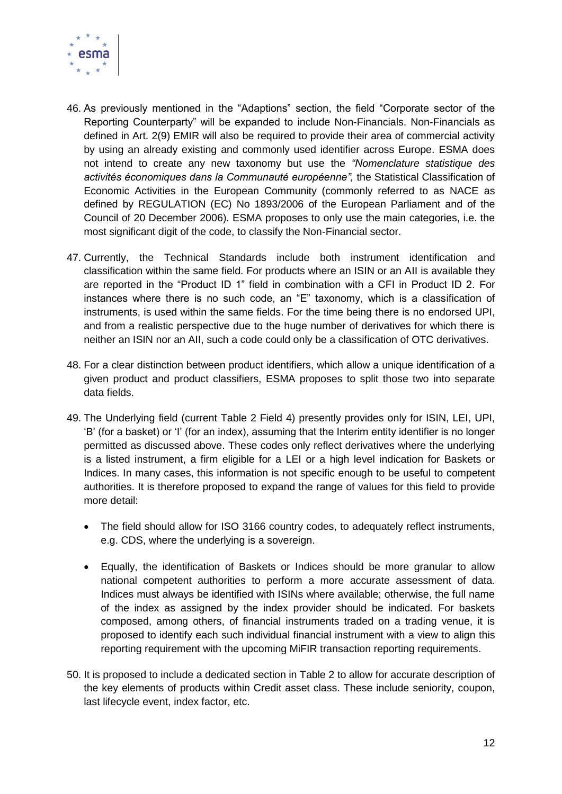

- <span id="page-11-0"></span>46. As previously mentioned in the "Adaptions" section, the field "Corporate sector of the Reporting Counterparty" will be expanded to include Non-Financials. Non-Financials as defined in Art. 2(9) EMIR will also be required to provide their area of commercial activity by using an already existing and commonly used identifier across Europe. ESMA does not intend to create any new taxonomy but use the *"Nomenclature statistique des activités économiques dans la Communauté européenne",* the Statistical Classification of Economic Activities in the European Community (commonly referred to as NACE as defined by REGULATION (EC) No 1893/2006 of the European Parliament and of the Council of 20 December 2006). ESMA proposes to only use the main categories, i.e. the most significant digit of the code, to classify the Non-Financial sector.
- 47. Currently, the Technical Standards include both instrument identification and classification within the same field. For products where an ISIN or an AII is available they are reported in the "Product ID 1" field in combination with a CFI in Product ID 2. For instances where there is no such code, an  $E$ " taxonomy, which is a classification of instruments, is used within the same fields. For the time being there is no endorsed UPI, and from a realistic perspective due to the huge number of derivatives for which there is neither an ISIN nor an AII, such a code could only be a classification of OTC derivatives.
- 48. For a clear distinction between product identifiers, which allow a unique identification of a given product and product classifiers, ESMA proposes to split those two into separate data fields.
- 49. The Underlying field (current Table 2 Field 4) presently provides only for ISIN, LEI, UPI, ‗B' (for a basket) or ‗I' (for an index), assuming that the Interim entity identifier is no longer permitted as discussed above. These codes only reflect derivatives where the underlying is a listed instrument, a firm eligible for a LEI or a high level indication for Baskets or Indices. In many cases, this information is not specific enough to be useful to competent authorities. It is therefore proposed to expand the range of values for this field to provide more detail:
	- The field should allow for ISO 3166 country codes, to adequately reflect instruments, e.g. CDS, where the underlying is a sovereign.
	- Equally, the identification of Baskets or Indices should be more granular to allow national competent authorities to perform a more accurate assessment of data. Indices must always be identified with ISINs where available; otherwise, the full name of the index as assigned by the index provider should be indicated. For baskets composed, among others, of financial instruments traded on a trading venue, it is proposed to identify each such individual financial instrument with a view to align this reporting requirement with the upcoming MiFIR transaction reporting requirements.
- 50. It is proposed to include a dedicated section in Table 2 to allow for accurate description of the key elements of products within Credit asset class. These include seniority, coupon, last lifecycle event, index factor, etc.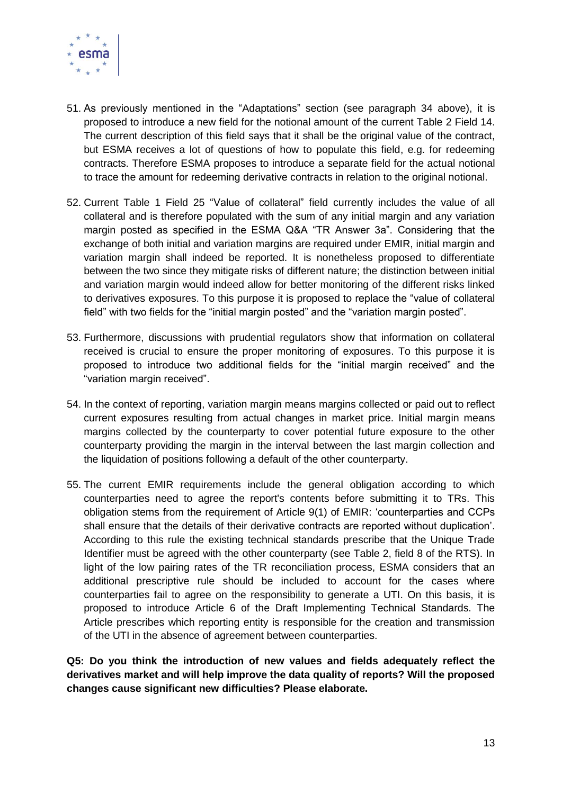

- 51. As previously mentioned in the "Adaptations" section (see paragraph [34](#page-8-0) above), it is proposed to introduce a new field for the notional amount of the current Table 2 Field 14. The current description of this field says that it shall be the original value of the contract, but ESMA receives a lot of questions of how to populate this field, e.g. for redeeming contracts. Therefore ESMA proposes to introduce a separate field for the actual notional to trace the amount for redeeming derivative contracts in relation to the original notional.
- 52. Current Table 1 Field 25 "Value of collateral" field currently includes the value of all collateral and is therefore populated with the sum of any initial margin and any variation margin posted as specified in the ESMA Q&A "TR Answer 3a". Considering that the exchange of both initial and variation margins are required under EMIR, initial margin and variation margin shall indeed be reported. It is nonetheless proposed to differentiate between the two since they mitigate risks of different nature; the distinction between initial and variation margin would indeed allow for better monitoring of the different risks linked to derivatives exposures. To this purpose it is proposed to replace the "value of collateral field" with two fields for the "initial margin posted" and the "variation margin posted".
- 53. Furthermore, discussions with prudential regulators show that information on collateral received is crucial to ensure the proper monitoring of exposures. To this purpose it is proposed to introduce two additional fields for the "initial margin received" and the "variation margin received".
- 54. In the context of reporting, variation margin means margins collected or paid out to reflect current exposures resulting from actual changes in market price. Initial margin means margins collected by the counterparty to cover potential future exposure to the other counterparty providing the margin in the interval between the last margin collection and the liquidation of positions following a default of the other counterparty.
- 55. The current EMIR requirements include the general obligation according to which counterparties need to agree the report's contents before submitting it to TRs. This obligation stems from the requirement of Article 9(1) of EMIR: 'counterparties and CCPs shall ensure that the details of their derivative contracts are reported without duplication'. According to this rule the existing technical standards prescribe that the Unique Trade Identifier must be agreed with the other counterparty (see Table 2, field 8 of the RTS). In light of the low pairing rates of the TR reconciliation process, ESMA considers that an additional prescriptive rule should be included to account for the cases where counterparties fail to agree on the responsibility to generate a UTI. On this basis, it is proposed to introduce Article 6 of the Draft Implementing Technical Standards. The Article prescribes which reporting entity is responsible for the creation and transmission of the UTI in the absence of agreement between counterparties.

**Q5: Do you think the introduction of new values and fields adequately reflect the derivatives market and will help improve the data quality of reports? Will the proposed changes cause significant new difficulties? Please elaborate.**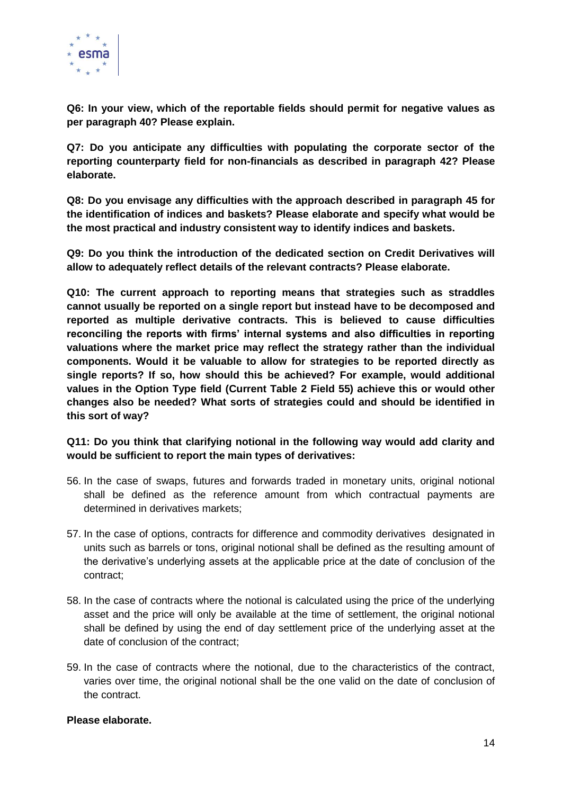

**Q6: In your view, which of the reportable fields should permit for negative values as per paragraph 40? Please explain.**

**Q7: Do you anticipate any difficulties with populating the corporate sector of the reporting counterparty field for non-financials as described in paragraph 42? Please elaborate.**

**Q8: Do you envisage any difficulties with the approach described in paragraph 45 for the identification of indices and baskets? Please elaborate and specify what would be the most practical and industry consistent way to identify indices and baskets.**

**Q9: Do you think the introduction of the dedicated section on Credit Derivatives will allow to adequately reflect details of the relevant contracts? Please elaborate.**

**Q10: The current approach to reporting means that strategies such as straddles cannot usually be reported on a single report but instead have to be decomposed and reported as multiple derivative contracts. This is believed to cause difficulties reconciling the reports with firms' internal systems and also difficulties in reporting valuations where the market price may reflect the strategy rather than the individual components. Would it be valuable to allow for strategies to be reported directly as single reports? If so, how should this be achieved? For example, would additional values in the Option Type field (Current Table 2 Field 55) achieve this or would other changes also be needed? What sorts of strategies could and should be identified in this sort of way?**

#### **Q11: Do you think that clarifying notional in the following way would add clarity and would be sufficient to report the main types of derivatives:**

- 56. In the case of swaps, futures and forwards traded in monetary units, original notional shall be defined as the reference amount from which contractual payments are determined in derivatives markets;
- 57. In the case of options, contracts for difference and commodity derivatives designated in units such as barrels or tons, original notional shall be defined as the resulting amount of the derivative's underlying assets at the applicable price at the date of conclusion of the contract;
- 58. In the case of contracts where the notional is calculated using the price of the underlying asset and the price will only be available at the time of settlement, the original notional shall be defined by using the end of day settlement price of the underlying asset at the date of conclusion of the contract;
- 59. In the case of contracts where the notional, due to the characteristics of the contract, varies over time, the original notional shall be the one valid on the date of conclusion of the contract.

#### **Please elaborate.**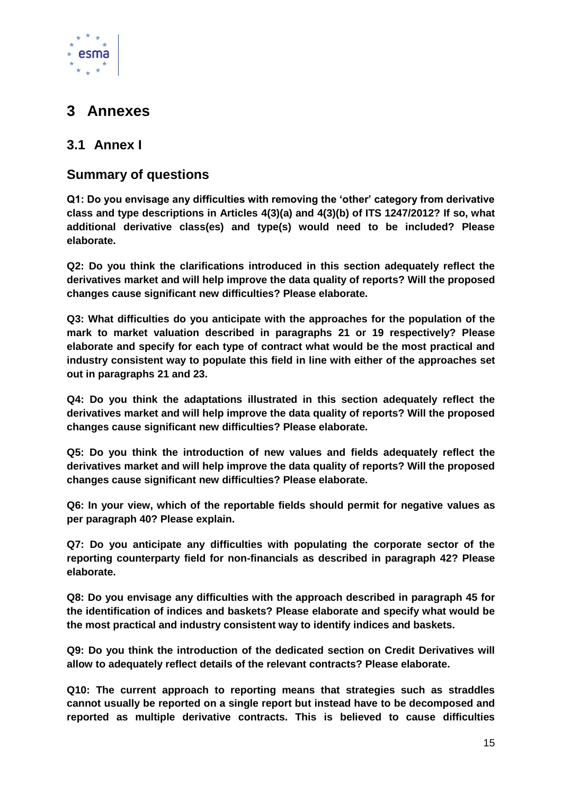

# <span id="page-14-0"></span>**3 Annexes**

## <span id="page-14-1"></span>**3.1 Annex I**

## **Summary of questions**

**Q1: Do you envisage any difficulties with removing the 'other' category from derivative class and type descriptions in Articles 4(3)(a) and 4(3)(b) of ITS 1247/2012? If so, what additional derivative class(es) and type(s) would need to be included? Please elaborate.**

**Q2: Do you think the clarifications introduced in this section adequately reflect the derivatives market and will help improve the data quality of reports? Will the proposed changes cause significant new difficulties? Please elaborate.**

**Q3: What difficulties do you anticipate with the approaches for the population of the mark to market valuation described in paragraphs [21](#page-6-0) or 19 respectively? Please elaborate and specify for each type of contract what would be the most practical and industry consistent way to populate this field in line with either of the approaches set out in paragraphs [21](#page-6-0) and [23.](#page-7-0)**

**Q4: Do you think the adaptations illustrated in this section adequately reflect the derivatives market and will help improve the data quality of reports? Will the proposed changes cause significant new difficulties? Please elaborate.**

**Q5: Do you think the introduction of new values and fields adequately reflect the derivatives market and will help improve the data quality of reports? Will the proposed changes cause significant new difficulties? Please elaborate.**

**Q6: In your view, which of the reportable fields should permit for negative values as per paragraph 40? Please explain.**

**Q7: Do you anticipate any difficulties with populating the corporate sector of the reporting counterparty field for non-financials as described in paragraph 42? Please elaborate.**

**Q8: Do you envisage any difficulties with the approach described in paragraph 45 for the identification of indices and baskets? Please elaborate and specify what would be the most practical and industry consistent way to identify indices and baskets.**

**Q9: Do you think the introduction of the dedicated section on Credit Derivatives will allow to adequately reflect details of the relevant contracts? Please elaborate.**

**Q10: The current approach to reporting means that strategies such as straddles cannot usually be reported on a single report but instead have to be decomposed and reported as multiple derivative contracts. This is believed to cause difficulties**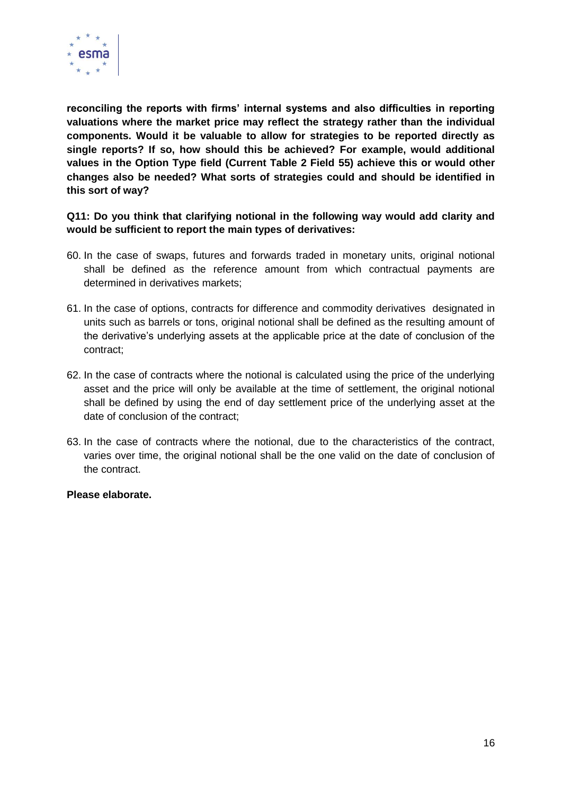

**reconciling the reports with firms' internal systems and also difficulties in reporting valuations where the market price may reflect the strategy rather than the individual components. Would it be valuable to allow for strategies to be reported directly as single reports? If so, how should this be achieved? For example, would additional values in the Option Type field (Current Table 2 Field 55) achieve this or would other changes also be needed? What sorts of strategies could and should be identified in this sort of way?**

**Q11: Do you think that clarifying notional in the following way would add clarity and would be sufficient to report the main types of derivatives:**

- 60. In the case of swaps, futures and forwards traded in monetary units, original notional shall be defined as the reference amount from which contractual payments are determined in derivatives markets;
- 61. In the case of options, contracts for difference and commodity derivatives designated in units such as barrels or tons, original notional shall be defined as the resulting amount of the derivative's underlying assets at the applicable price at the date of conclusion of the contract;
- 62. In the case of contracts where the notional is calculated using the price of the underlying asset and the price will only be available at the time of settlement, the original notional shall be defined by using the end of day settlement price of the underlying asset at the date of conclusion of the contract;
- 63. In the case of contracts where the notional, due to the characteristics of the contract, varies over time, the original notional shall be the one valid on the date of conclusion of the contract.

#### **Please elaborate.**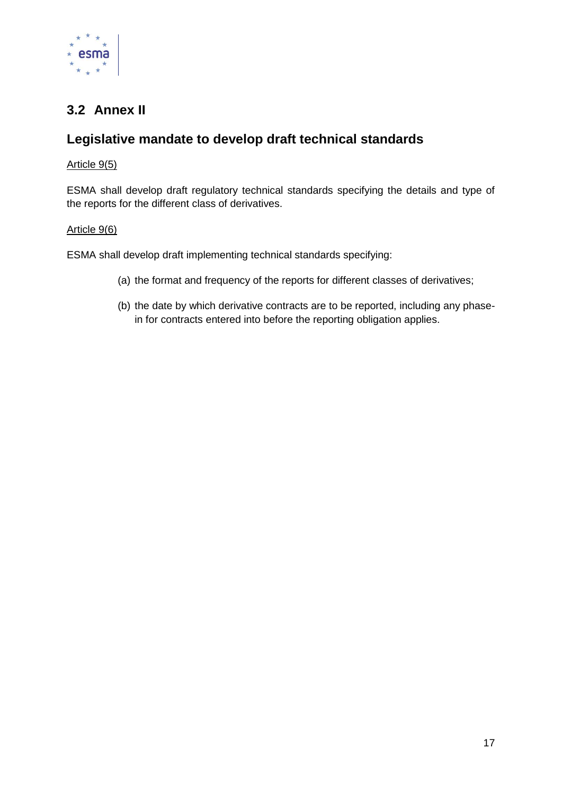

## <span id="page-16-0"></span>**3.2 Annex II**

## **Legislative mandate to develop draft technical standards**

#### Article 9(5)

ESMA shall develop draft regulatory technical standards specifying the details and type of the reports for the different class of derivatives.

#### Article 9(6)

ESMA shall develop draft implementing technical standards specifying:

- (a) the format and frequency of the reports for different classes of derivatives;
- (b) the date by which derivative contracts are to be reported, including any phasein for contracts entered into before the reporting obligation applies.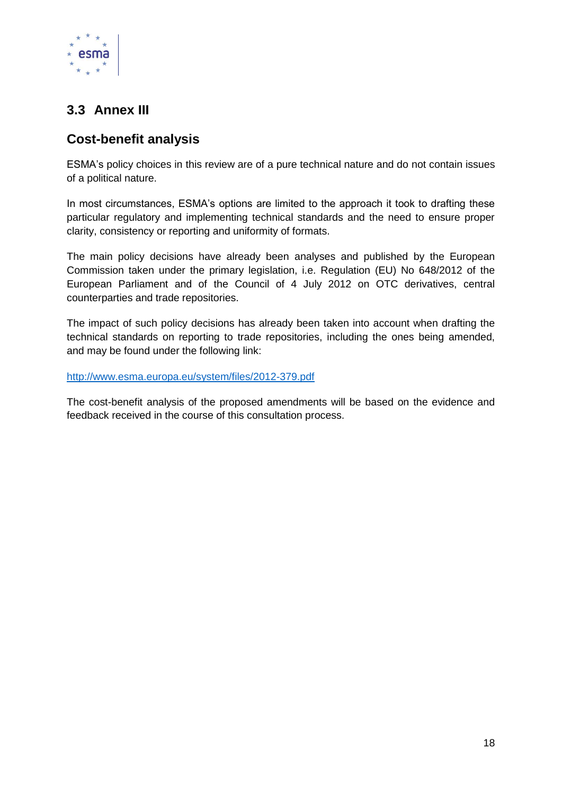

## <span id="page-17-0"></span>**3.3 Annex III**

## **Cost-benefit analysis**

ESMA's policy choices in this review are of a pure technical nature and do not contain issues of a political nature.

In most circumstances, ESMA's options are limited to the approach it took to drafting these particular regulatory and implementing technical standards and the need to ensure proper clarity, consistency or reporting and uniformity of formats.

The main policy decisions have already been analyses and published by the European Commission taken under the primary legislation, i.e. Regulation (EU) No 648/2012 of the European Parliament and of the Council of 4 July 2012 on OTC derivatives, central counterparties and trade repositories.

The impact of such policy decisions has already been taken into account when drafting the technical standards on reporting to trade repositories, including the ones being amended, and may be found under the following link:

<http://www.esma.europa.eu/system/files/2012-379.pdf>

The cost-benefit analysis of the proposed amendments will be based on the evidence and feedback received in the course of this consultation process.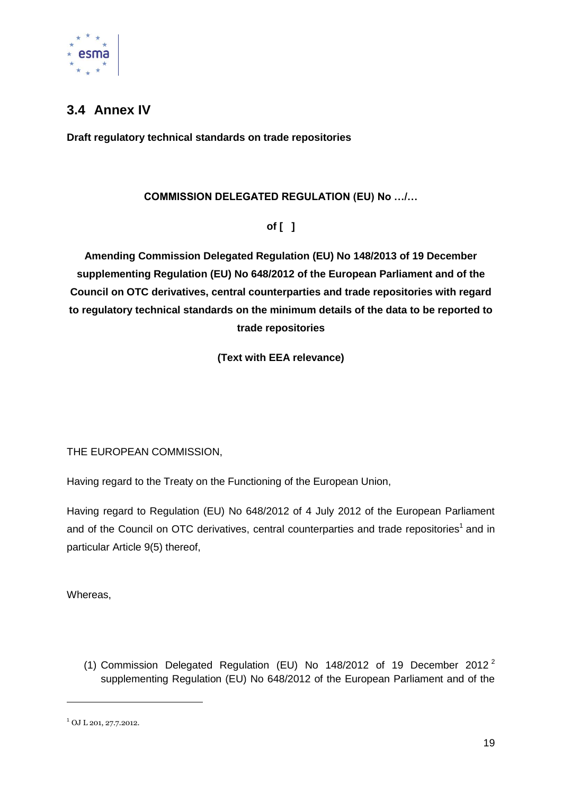

## <span id="page-18-0"></span>**3.4 Annex IV**

**Draft regulatory technical standards on trade repositories**

#### **COMMISSION DELEGATED REGULATION (EU) No …/…**

**of [ ]**

**Amending Commission Delegated Regulation (EU) No 148/2013 of 19 December supplementing Regulation (EU) No 648/2012 of the European Parliament and of the Council on OTC derivatives, central counterparties and trade repositories with regard to regulatory technical standards on the minimum details of the data to be reported to trade repositories**

**(Text with EEA relevance)**

THE EUROPEAN COMMISSION,

Having regard to the Treaty on the Functioning of the European Union,

Having regard to Regulation (EU) No 648/2012 of 4 July 2012 of the European Parliament and of the Council on OTC derivatives, central counterparties and trade repositories<sup>1</sup> and in particular Article 9(5) thereof,

Whereas,

(1) Commission Delegated Regulation (EU) No 148/2012 of 19 December 2012 <sup>2</sup> supplementing Regulation (EU) No 648/2012 of the European Parliament and of the

-

<sup>1</sup> OJ L 201, 27.7.2012.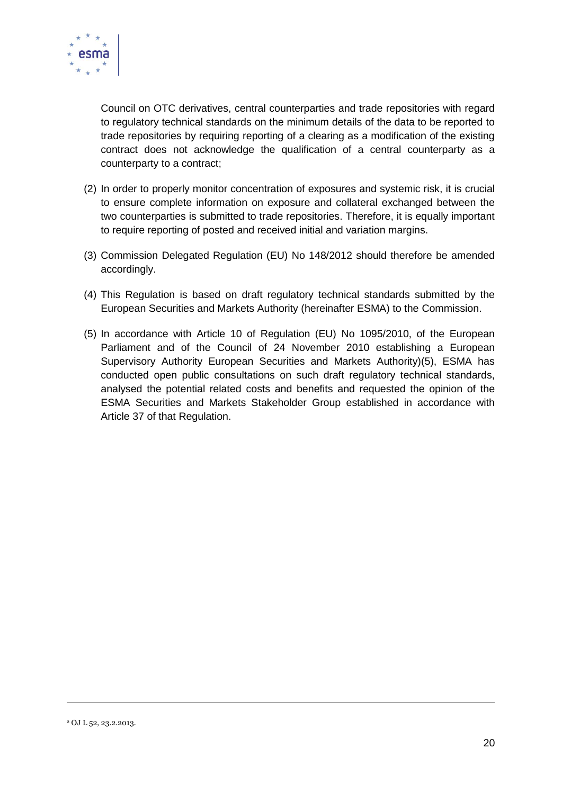

Council on OTC derivatives, central counterparties and trade repositories with regard to regulatory technical standards on the minimum details of the data to be reported to trade repositories by requiring reporting of a clearing as a modification of the existing contract does not acknowledge the qualification of a central counterparty as a counterparty to a contract;

- (2) In order to properly monitor concentration of exposures and systemic risk, it is crucial to ensure complete information on exposure and collateral exchanged between the two counterparties is submitted to trade repositories. Therefore, it is equally important to require reporting of posted and received initial and variation margins.
- (3) Commission Delegated Regulation (EU) No 148/2012 should therefore be amended accordingly.
- (4) This Regulation is based on draft regulatory technical standards submitted by the European Securities and Markets Authority (hereinafter ESMA) to the Commission.
- (5) In accordance with Article 10 of Regulation (EU) No 1095/2010, of the European Parliament and of the Council of 24 November 2010 establishing a European Supervisory Authority European Securities and Markets Authority)(5), ESMA has conducted open public consultations on such draft regulatory technical standards, analysed the potential related costs and benefits and requested the opinion of the ESMA Securities and Markets Stakeholder Group established in accordance with Article 37 of that Regulation.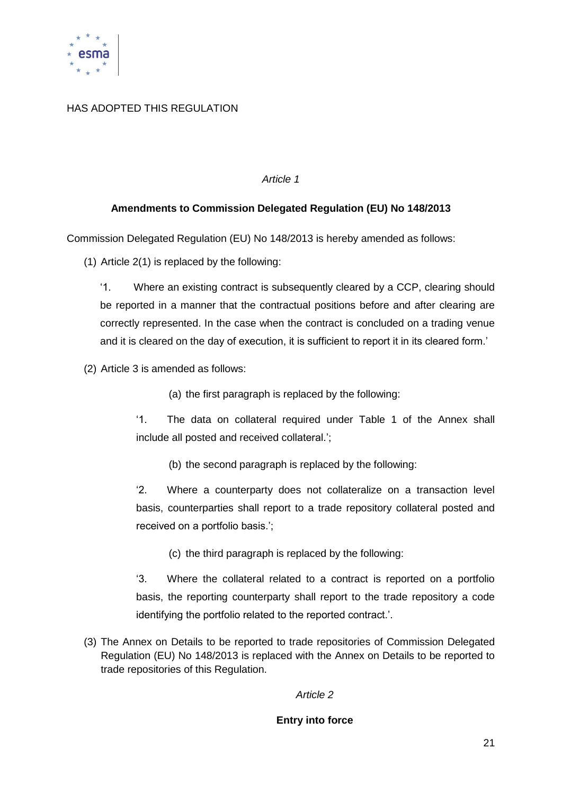

#### HAS ADOPTED THIS REGULATION

#### *Article 1*

#### **Amendments to Commission Delegated Regulation (EU) No 148/2013**

Commission Delegated Regulation (EU) No 148/2013 is hereby amended as follows:

(1) Article 2(1) is replaced by the following:

‗1. Where an existing contract is subsequently cleared by a CCP, clearing should be reported in a manner that the contractual positions before and after clearing are correctly represented. In the case when the contract is concluded on a trading venue and it is cleared on the day of execution, it is sufficient to report it in its cleared form.'

(2) Article 3 is amended as follows:

(a) the first paragraph is replaced by the following:

‗1. The data on collateral required under Table 1 of the Annex shall include all posted and received collateral.';

(b) the second paragraph is replaced by the following:

‗2. Where a counterparty does not collateralize on a transaction level basis, counterparties shall report to a trade repository collateral posted and received on a portfolio basis.';

(c) the third paragraph is replaced by the following:

‗3. Where the collateral related to a contract is reported on a portfolio basis, the reporting counterparty shall report to the trade repository a code identifying the portfolio related to the reported contract.'.

(3) The Annex on Details to be reported to trade repositories of Commission Delegated Regulation (EU) No 148/2013 is replaced with the Annex on Details to be reported to trade repositories of this Regulation.

#### *Article 2*

#### **Entry into force**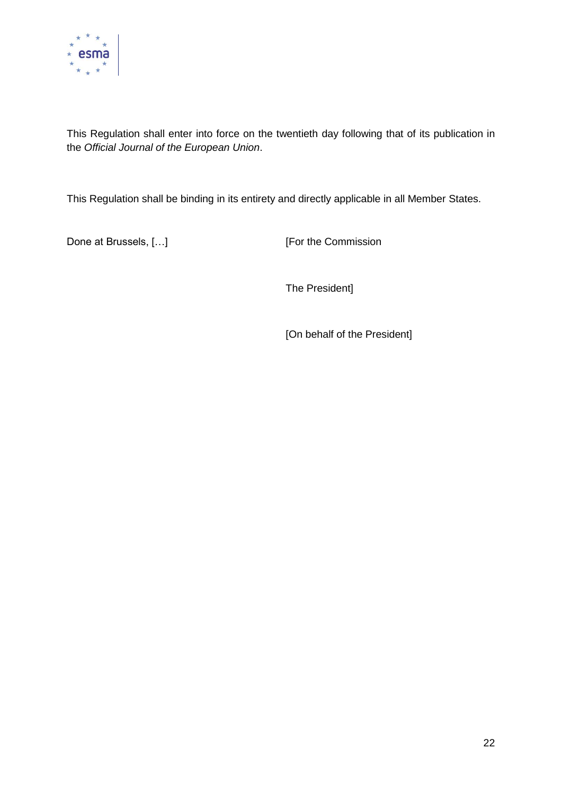

This Regulation shall enter into force on the twentieth day following that of its publication in the *Official Journal of the European Union*.

This Regulation shall be binding in its entirety and directly applicable in all Member States.

Done at Brussels, [...] [For the Commission

The President]

[On behalf of the President]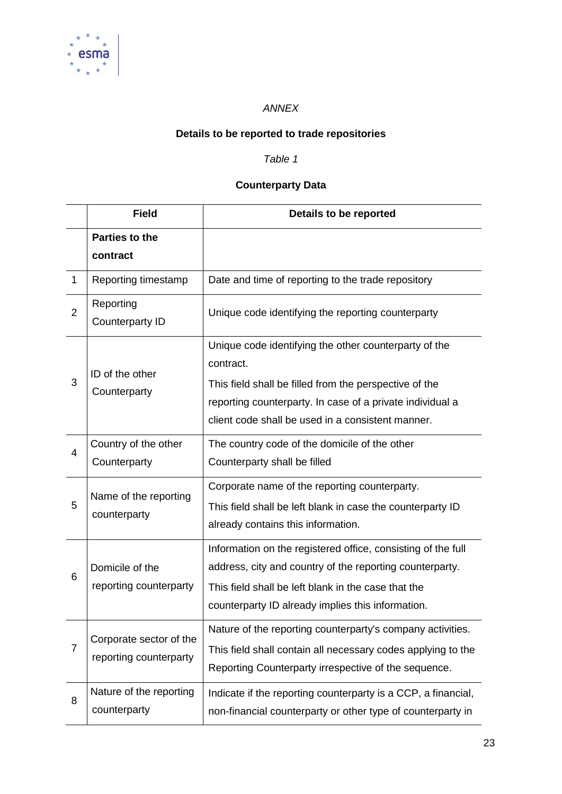

#### *ANNEX*

# **Details to be reported to trade repositories**

#### *Table 1*

## **Counterparty Data**

|                | <b>Field</b>                                      | Details to be reported                                                                                                                                                                                                               |
|----------------|---------------------------------------------------|--------------------------------------------------------------------------------------------------------------------------------------------------------------------------------------------------------------------------------------|
|                | <b>Parties to the</b><br>contract                 |                                                                                                                                                                                                                                      |
| $\mathbf{1}$   | Reporting timestamp                               | Date and time of reporting to the trade repository                                                                                                                                                                                   |
| $\overline{2}$ | Reporting<br>Counterparty ID                      | Unique code identifying the reporting counterparty                                                                                                                                                                                   |
| 3              | ID of the other<br>Counterparty                   | Unique code identifying the other counterparty of the<br>contract.<br>This field shall be filled from the perspective of the                                                                                                         |
|                |                                                   | reporting counterparty. In case of a private individual a<br>client code shall be used in a consistent manner.                                                                                                                       |
| 4              | Country of the other<br>Counterparty              | The country code of the domicile of the other<br>Counterparty shall be filled                                                                                                                                                        |
| 5              | Name of the reporting<br>counterparty             | Corporate name of the reporting counterparty.<br>This field shall be left blank in case the counterparty ID<br>already contains this information.                                                                                    |
| 6              | Domicile of the<br>reporting counterparty         | Information on the registered office, consisting of the full<br>address, city and country of the reporting counterparty.<br>This field shall be left blank in the case that the<br>counterparty ID already implies this information. |
| $\overline{7}$ | Corporate sector of the<br>reporting counterparty | Nature of the reporting counterparty's company activities.<br>This field shall contain all necessary codes applying to the<br>Reporting Counterparty irrespective of the sequence.                                                   |
| 8              | Nature of the reporting<br>counterparty           | Indicate if the reporting counterparty is a CCP, a financial,<br>non-financial counterparty or other type of counterparty in                                                                                                         |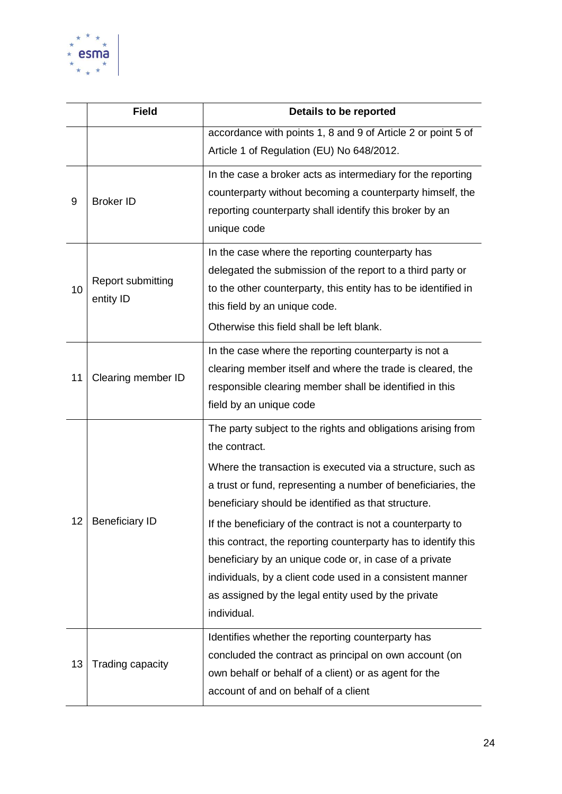

|    | <b>Field</b>                          | Details to be reported                                                                                                                                                                                                                                                                                                                                                                                                                                                                                                                                                                           |
|----|---------------------------------------|--------------------------------------------------------------------------------------------------------------------------------------------------------------------------------------------------------------------------------------------------------------------------------------------------------------------------------------------------------------------------------------------------------------------------------------------------------------------------------------------------------------------------------------------------------------------------------------------------|
|    |                                       | accordance with points 1, 8 and 9 of Article 2 or point 5 of<br>Article 1 of Regulation (EU) No 648/2012.                                                                                                                                                                                                                                                                                                                                                                                                                                                                                        |
| 9  | <b>Broker ID</b>                      | In the case a broker acts as intermediary for the reporting<br>counterparty without becoming a counterparty himself, the<br>reporting counterparty shall identify this broker by an<br>unique code                                                                                                                                                                                                                                                                                                                                                                                               |
| 10 | <b>Report submitting</b><br>entity ID | In the case where the reporting counterparty has<br>delegated the submission of the report to a third party or<br>to the other counterparty, this entity has to be identified in<br>this field by an unique code.<br>Otherwise this field shall be left blank.                                                                                                                                                                                                                                                                                                                                   |
| 11 | Clearing member ID                    | In the case where the reporting counterparty is not a<br>clearing member itself and where the trade is cleared, the<br>responsible clearing member shall be identified in this<br>field by an unique code                                                                                                                                                                                                                                                                                                                                                                                        |
| 12 | <b>Beneficiary ID</b>                 | The party subject to the rights and obligations arising from<br>the contract.<br>Where the transaction is executed via a structure, such as<br>a trust or fund, representing a number of beneficiaries, the<br>beneficiary should be identified as that structure.<br>If the beneficiary of the contract is not a counterparty to<br>this contract, the reporting counterparty has to identify this<br>beneficiary by an unique code or, in case of a private<br>individuals, by a client code used in a consistent manner<br>as assigned by the legal entity used by the private<br>individual. |
| 13 | Trading capacity                      | Identifies whether the reporting counterparty has<br>concluded the contract as principal on own account (on<br>own behalf or behalf of a client) or as agent for the<br>account of and on behalf of a client                                                                                                                                                                                                                                                                                                                                                                                     |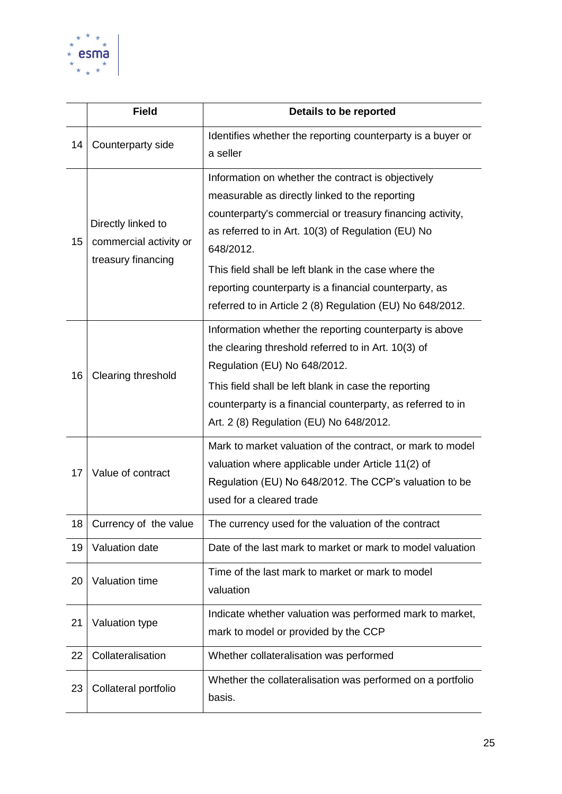

|    | <b>Field</b>                                                       | Details to be reported                                                                                                                                                                                                                                                                                                                                                                                              |
|----|--------------------------------------------------------------------|---------------------------------------------------------------------------------------------------------------------------------------------------------------------------------------------------------------------------------------------------------------------------------------------------------------------------------------------------------------------------------------------------------------------|
| 14 | Counterparty side                                                  | Identifies whether the reporting counterparty is a buyer or<br>a seller                                                                                                                                                                                                                                                                                                                                             |
| 15 | Directly linked to<br>commercial activity or<br>treasury financing | Information on whether the contract is objectively<br>measurable as directly linked to the reporting<br>counterparty's commercial or treasury financing activity,<br>as referred to in Art. 10(3) of Regulation (EU) No<br>648/2012.<br>This field shall be left blank in the case where the<br>reporting counterparty is a financial counterparty, as<br>referred to in Article 2 (8) Regulation (EU) No 648/2012. |
| 16 | Clearing threshold                                                 | Information whether the reporting counterparty is above<br>the clearing threshold referred to in Art. 10(3) of<br>Regulation (EU) No 648/2012.<br>This field shall be left blank in case the reporting<br>counterparty is a financial counterparty, as referred to in<br>Art. 2 (8) Regulation (EU) No 648/2012.                                                                                                    |
| 17 | Value of contract                                                  | Mark to market valuation of the contract, or mark to model<br>valuation where applicable under Article 11(2) of<br>Regulation (EU) No 648/2012. The CCP's valuation to be<br>used for a cleared trade                                                                                                                                                                                                               |
| 18 | Currency of the value                                              | The currency used for the valuation of the contract                                                                                                                                                                                                                                                                                                                                                                 |
| 19 | Valuation date                                                     | Date of the last mark to market or mark to model valuation                                                                                                                                                                                                                                                                                                                                                          |
| 20 | Valuation time                                                     | Time of the last mark to market or mark to model<br>valuation                                                                                                                                                                                                                                                                                                                                                       |
| 21 | Valuation type                                                     | Indicate whether valuation was performed mark to market,<br>mark to model or provided by the CCP                                                                                                                                                                                                                                                                                                                    |
| 22 | Collateralisation                                                  | Whether collateralisation was performed                                                                                                                                                                                                                                                                                                                                                                             |
| 23 | Collateral portfolio                                               | Whether the collateralisation was performed on a portfolio<br>basis.                                                                                                                                                                                                                                                                                                                                                |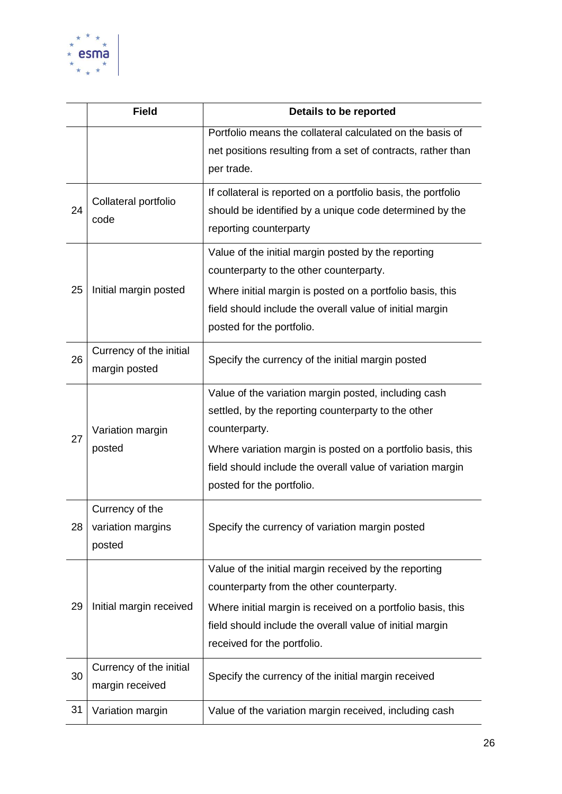

|    | <b>Field</b>                                   | Details to be reported                                                                                                                                                                      |
|----|------------------------------------------------|---------------------------------------------------------------------------------------------------------------------------------------------------------------------------------------------|
|    |                                                | Portfolio means the collateral calculated on the basis of                                                                                                                                   |
|    |                                                | net positions resulting from a set of contracts, rather than<br>per trade.                                                                                                                  |
| 24 | Collateral portfolio<br>code                   | If collateral is reported on a portfolio basis, the portfolio<br>should be identified by a unique code determined by the<br>reporting counterparty                                          |
|    |                                                | Value of the initial margin posted by the reporting<br>counterparty to the other counterparty.                                                                                              |
| 25 | Initial margin posted                          | Where initial margin is posted on a portfolio basis, this<br>field should include the overall value of initial margin<br>posted for the portfolio.                                          |
| 26 | Currency of the initial<br>margin posted       | Specify the currency of the initial margin posted                                                                                                                                           |
| 27 | Variation margin<br>posted                     | Value of the variation margin posted, including cash<br>settled, by the reporting counterparty to the other<br>counterparty.<br>Where variation margin is posted on a portfolio basis, this |
|    |                                                | field should include the overall value of variation margin<br>posted for the portfolio.                                                                                                     |
| 28 | Currency of the<br>variation margins<br>posted | Specify the currency of variation margin posted                                                                                                                                             |
|    |                                                | Value of the initial margin received by the reporting<br>counterparty from the other counterparty.                                                                                          |
| 29 | Initial margin received                        | Where initial margin is received on a portfolio basis, this<br>field should include the overall value of initial margin<br>received for the portfolio.                                      |
| 30 | Currency of the initial<br>margin received     | Specify the currency of the initial margin received                                                                                                                                         |
| 31 | Variation margin                               | Value of the variation margin received, including cash                                                                                                                                      |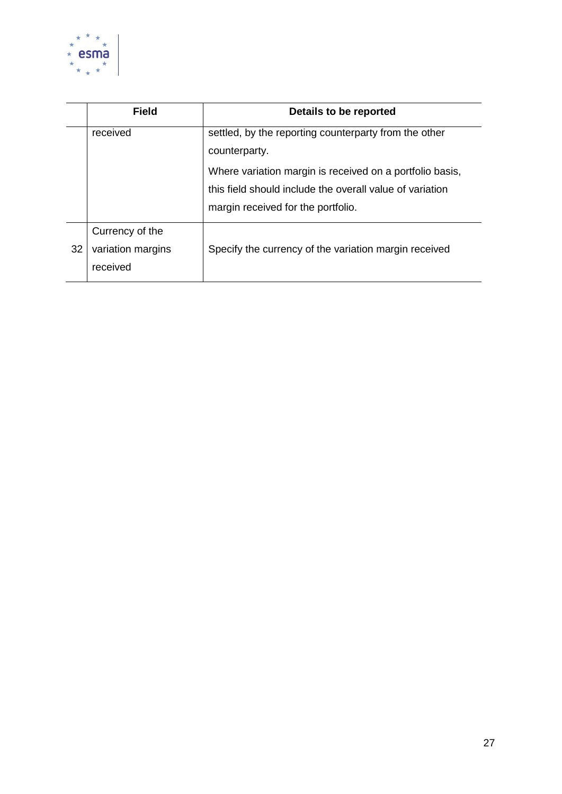

|    | <b>Field</b>                                     | Details to be reported                                                                                                                                                                                                               |
|----|--------------------------------------------------|--------------------------------------------------------------------------------------------------------------------------------------------------------------------------------------------------------------------------------------|
|    | received                                         | settled, by the reporting counterparty from the other<br>counterparty.<br>Where variation margin is received on a portfolio basis,<br>this field should include the overall value of variation<br>margin received for the portfolio. |
| 32 | Currency of the<br>variation margins<br>received | Specify the currency of the variation margin received                                                                                                                                                                                |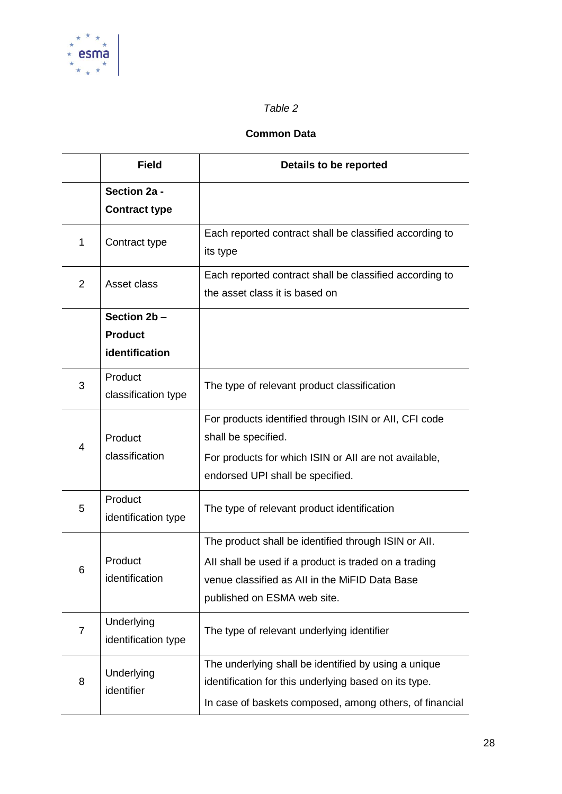

#### *Table 2*

#### **Common Data**

|                | <b>Field</b>                      | Details to be reported                                                                                                                                                                         |
|----------------|-----------------------------------|------------------------------------------------------------------------------------------------------------------------------------------------------------------------------------------------|
|                | Section 2a -                      |                                                                                                                                                                                                |
|                | <b>Contract type</b>              |                                                                                                                                                                                                |
| 1              | Contract type                     | Each reported contract shall be classified according to<br>its type                                                                                                                            |
| $\overline{2}$ | Asset class                       | Each reported contract shall be classified according to<br>the asset class it is based on                                                                                                      |
|                | Section 2b-                       |                                                                                                                                                                                                |
|                | <b>Product</b>                    |                                                                                                                                                                                                |
|                | identification                    |                                                                                                                                                                                                |
| 3              | Product<br>classification type    | The type of relevant product classification                                                                                                                                                    |
| 4              | Product<br>classification         | For products identified through ISIN or AII, CFI code<br>shall be specified.<br>For products for which ISIN or All are not available,<br>endorsed UPI shall be specified.                      |
| 5              | Product<br>identification type    | The type of relevant product identification                                                                                                                                                    |
| 6              | Product<br>identification         | The product shall be identified through ISIN or All.<br>All shall be used if a product is traded on a trading<br>venue classified as All in the MiFID Data Base<br>published on ESMA web site. |
| 7              | Underlying<br>identification type | The type of relevant underlying identifier                                                                                                                                                     |
| 8              | Underlying<br>identifier          | The underlying shall be identified by using a unique<br>identification for this underlying based on its type.<br>In case of baskets composed, among others, of financial                       |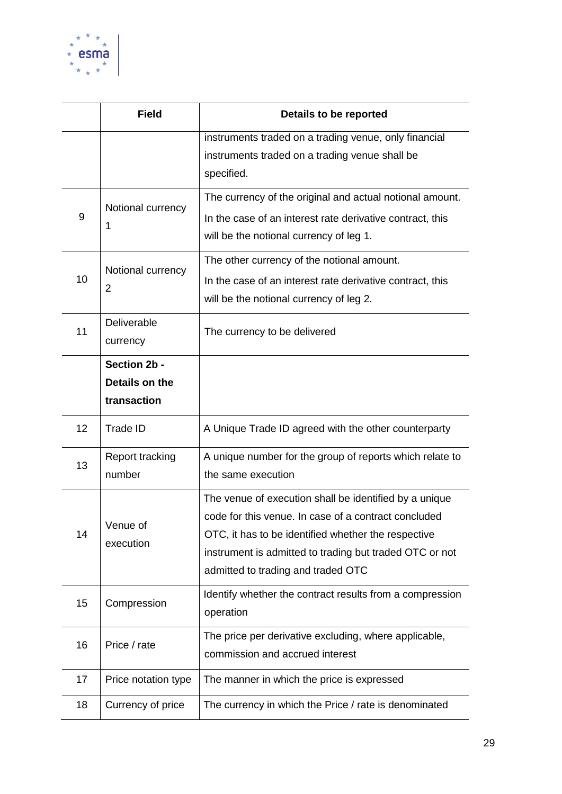

|    | <b>Field</b>                                  | Details to be reported                                                                                                                                                                                                                                                 |
|----|-----------------------------------------------|------------------------------------------------------------------------------------------------------------------------------------------------------------------------------------------------------------------------------------------------------------------------|
|    |                                               | instruments traded on a trading venue, only financial<br>instruments traded on a trading venue shall be<br>specified.                                                                                                                                                  |
| 9  | Notional currency<br>1                        | The currency of the original and actual notional amount.<br>In the case of an interest rate derivative contract, this<br>will be the notional currency of leg 1.                                                                                                       |
| 10 | Notional currency<br>$\overline{2}$           | The other currency of the notional amount.<br>In the case of an interest rate derivative contract, this<br>will be the notional currency of leg 2.                                                                                                                     |
| 11 | Deliverable<br>currency                       | The currency to be delivered                                                                                                                                                                                                                                           |
|    | Section 2b -<br>Details on the<br>transaction |                                                                                                                                                                                                                                                                        |
| 12 | <b>Trade ID</b>                               | A Unique Trade ID agreed with the other counterparty                                                                                                                                                                                                                   |
| 13 | <b>Report tracking</b><br>number              | A unique number for the group of reports which relate to<br>the same execution                                                                                                                                                                                         |
| 14 | Venue of<br>execution                         | The venue of execution shall be identified by a unique<br>code for this venue. In case of a contract concluded<br>OTC, it has to be identified whether the respective<br>instrument is admitted to trading but traded OTC or not<br>admitted to trading and traded OTC |
| 15 | Compression                                   | Identify whether the contract results from a compression<br>operation                                                                                                                                                                                                  |
| 16 | Price / rate                                  | The price per derivative excluding, where applicable,<br>commission and accrued interest                                                                                                                                                                               |
| 17 | Price notation type                           | The manner in which the price is expressed                                                                                                                                                                                                                             |
| 18 | Currency of price                             | The currency in which the Price / rate is denominated                                                                                                                                                                                                                  |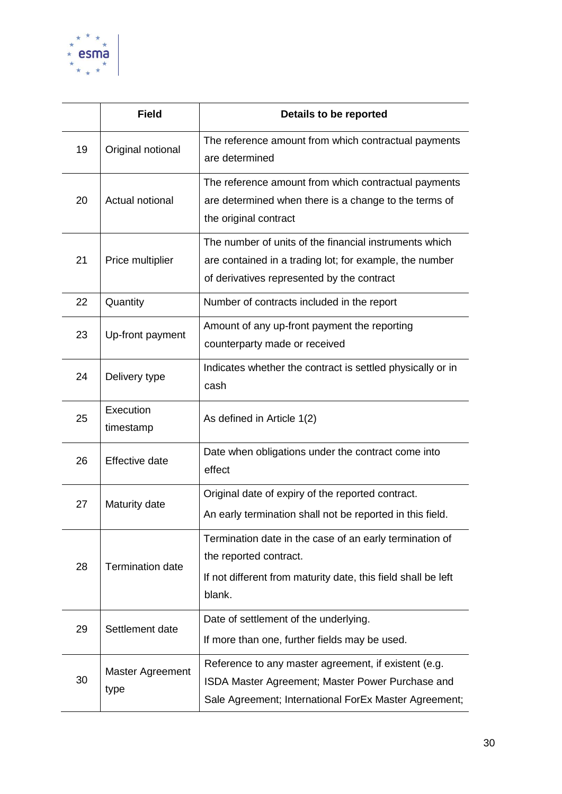

|    | <b>Field</b>             | Details to be reported                                                                                                                                            |
|----|--------------------------|-------------------------------------------------------------------------------------------------------------------------------------------------------------------|
| 19 | Original notional        | The reference amount from which contractual payments<br>are determined                                                                                            |
| 20 | Actual notional          | The reference amount from which contractual payments<br>are determined when there is a change to the terms of<br>the original contract                            |
| 21 | Price multiplier         | The number of units of the financial instruments which<br>are contained in a trading lot; for example, the number<br>of derivatives represented by the contract   |
| 22 | Quantity                 | Number of contracts included in the report                                                                                                                        |
| 23 | Up-front payment         | Amount of any up-front payment the reporting<br>counterparty made or received                                                                                     |
| 24 | Delivery type            | Indicates whether the contract is settled physically or in<br>cash                                                                                                |
| 25 | Execution<br>timestamp   | As defined in Article 1(2)                                                                                                                                        |
| 26 | <b>Effective date</b>    | Date when obligations under the contract come into<br>effect                                                                                                      |
| 27 | Maturity date            | Original date of expiry of the reported contract.                                                                                                                 |
|    |                          | An early termination shall not be reported in this field.                                                                                                         |
| 28 | <b>Termination date</b>  | Termination date in the case of an early termination of<br>the reported contract.<br>If not different from maturity date, this field shall be left<br>blank.      |
| 29 | Settlement date          | Date of settlement of the underlying.<br>If more than one, further fields may be used.                                                                            |
| 30 | Master Agreement<br>type | Reference to any master agreement, if existent (e.g.<br>ISDA Master Agreement; Master Power Purchase and<br>Sale Agreement; International ForEx Master Agreement; |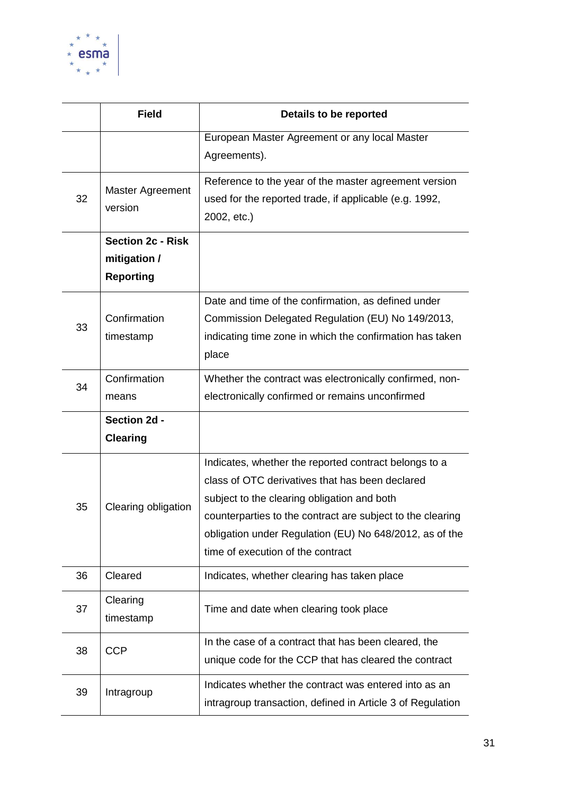

|    | <b>Field</b>                                                 | Details to be reported                                                                                                                                                                                                                                                                                                |
|----|--------------------------------------------------------------|-----------------------------------------------------------------------------------------------------------------------------------------------------------------------------------------------------------------------------------------------------------------------------------------------------------------------|
|    |                                                              | European Master Agreement or any local Master<br>Agreements).                                                                                                                                                                                                                                                         |
| 32 | <b>Master Agreement</b><br>version                           | Reference to the year of the master agreement version<br>used for the reported trade, if applicable (e.g. 1992,<br>2002, etc.)                                                                                                                                                                                        |
|    | <b>Section 2c - Risk</b><br>mitigation /<br><b>Reporting</b> |                                                                                                                                                                                                                                                                                                                       |
| 33 | Confirmation<br>timestamp                                    | Date and time of the confirmation, as defined under<br>Commission Delegated Regulation (EU) No 149/2013,<br>indicating time zone in which the confirmation has taken<br>place                                                                                                                                         |
| 34 | Confirmation<br>means                                        | Whether the contract was electronically confirmed, non-<br>electronically confirmed or remains unconfirmed                                                                                                                                                                                                            |
|    | Section 2d -                                                 |                                                                                                                                                                                                                                                                                                                       |
|    | <b>Clearing</b>                                              |                                                                                                                                                                                                                                                                                                                       |
| 35 | Clearing obligation                                          | Indicates, whether the reported contract belongs to a<br>class of OTC derivatives that has been declared<br>subject to the clearing obligation and both<br>counterparties to the contract are subject to the clearing<br>obligation under Regulation (EU) No 648/2012, as of the<br>time of execution of the contract |
| 36 | Cleared                                                      | Indicates, whether clearing has taken place                                                                                                                                                                                                                                                                           |
| 37 | Clearing<br>timestamp                                        | Time and date when clearing took place                                                                                                                                                                                                                                                                                |
| 38 | <b>CCP</b>                                                   | In the case of a contract that has been cleared, the<br>unique code for the CCP that has cleared the contract                                                                                                                                                                                                         |
| 39 | Intragroup                                                   | Indicates whether the contract was entered into as an<br>intragroup transaction, defined in Article 3 of Regulation                                                                                                                                                                                                   |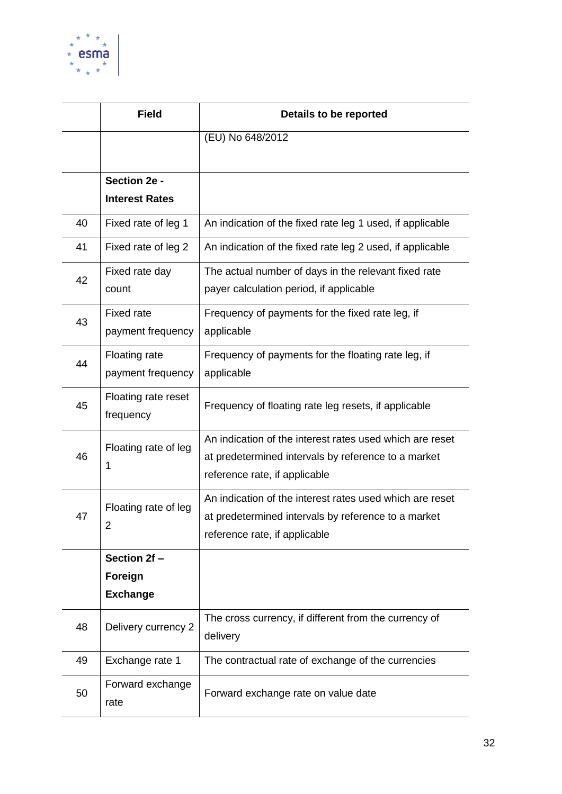

|    | <b>Field</b>                              | Details to be reported                                                                                                                           |
|----|-------------------------------------------|--------------------------------------------------------------------------------------------------------------------------------------------------|
|    |                                           | (EU) No 648/2012                                                                                                                                 |
|    | Section 2e -                              |                                                                                                                                                  |
|    | <b>Interest Rates</b>                     |                                                                                                                                                  |
| 40 | Fixed rate of leg 1                       | An indication of the fixed rate leg 1 used, if applicable                                                                                        |
| 41 | Fixed rate of leg 2                       | An indication of the fixed rate leg 2 used, if applicable                                                                                        |
| 42 | Fixed rate day<br>count                   | The actual number of days in the relevant fixed rate<br>payer calculation period, if applicable                                                  |
| 43 | Fixed rate<br>payment frequency           | Frequency of payments for the fixed rate leg, if<br>applicable                                                                                   |
| 44 | <b>Floating rate</b><br>payment frequency | Frequency of payments for the floating rate leg, if<br>applicable                                                                                |
| 45 | Floating rate reset<br>frequency          | Frequency of floating rate leg resets, if applicable                                                                                             |
| 46 | Floating rate of leg<br>1                 | An indication of the interest rates used which are reset<br>at predetermined intervals by reference to a market<br>reference rate, if applicable |
| 47 | Floating rate of leg<br>2                 | An indication of the interest rates used which are reset<br>at predetermined intervals by reference to a market<br>reference rate, if applicable |
|    | Section 2f-                               |                                                                                                                                                  |
|    | Foreign                                   |                                                                                                                                                  |
|    | <b>Exchange</b>                           |                                                                                                                                                  |
| 48 | Delivery currency 2                       | The cross currency, if different from the currency of<br>delivery                                                                                |
| 49 | Exchange rate 1                           | The contractual rate of exchange of the currencies                                                                                               |
| 50 | Forward exchange<br>rate                  | Forward exchange rate on value date                                                                                                              |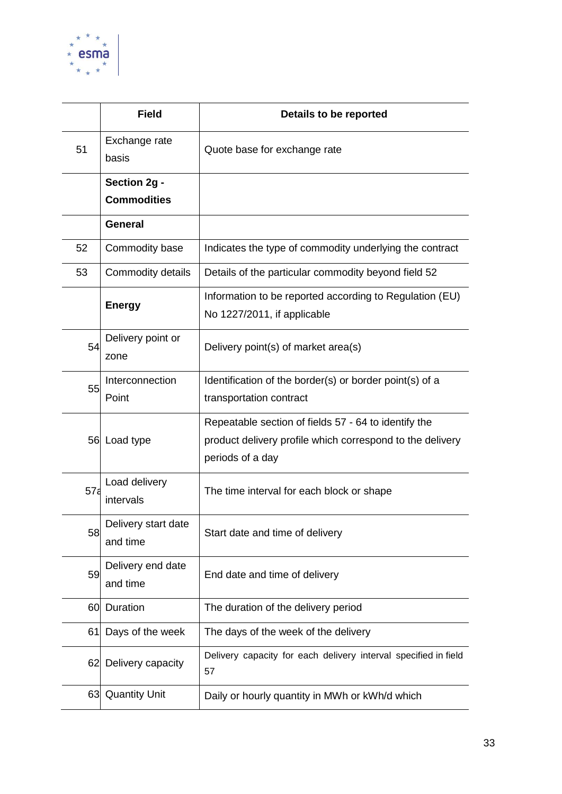

|                 | <b>Field</b>                    | Details to be reported                                                                                                                |
|-----------------|---------------------------------|---------------------------------------------------------------------------------------------------------------------------------------|
| 51              | Exchange rate<br>basis          | Quote base for exchange rate                                                                                                          |
|                 | Section 2g -                    |                                                                                                                                       |
|                 | <b>Commodities</b>              |                                                                                                                                       |
|                 | <b>General</b>                  |                                                                                                                                       |
| 52              | Commodity base                  | Indicates the type of commodity underlying the contract                                                                               |
| 53              | Commodity details               | Details of the particular commodity beyond field 52                                                                                   |
|                 | <b>Energy</b>                   | Information to be reported according to Regulation (EU)<br>No 1227/2011, if applicable                                                |
| 54              | Delivery point or<br>zone       | Delivery point(s) of market area(s)                                                                                                   |
| 55              | Interconnection<br>Point        | Identification of the border(s) or border point(s) of a<br>transportation contract                                                    |
|                 | 56 Load type                    | Repeatable section of fields 57 - 64 to identify the<br>product delivery profile which correspond to the delivery<br>periods of a day |
| 57 <sub>5</sub> | Load delivery<br>intervals      | The time interval for each block or shape                                                                                             |
| 58              | Delivery start date<br>and time | Start date and time of delivery                                                                                                       |
| 59              | Delivery end date<br>and time   | End date and time of delivery                                                                                                         |
| 60              | Duration                        | The duration of the delivery period                                                                                                   |
| 61              | Days of the week                | The days of the week of the delivery                                                                                                  |
| 62              | Delivery capacity               | Delivery capacity for each delivery interval specified in field<br>57                                                                 |
| 63              | <b>Quantity Unit</b>            | Daily or hourly quantity in MWh or kWh/d which                                                                                        |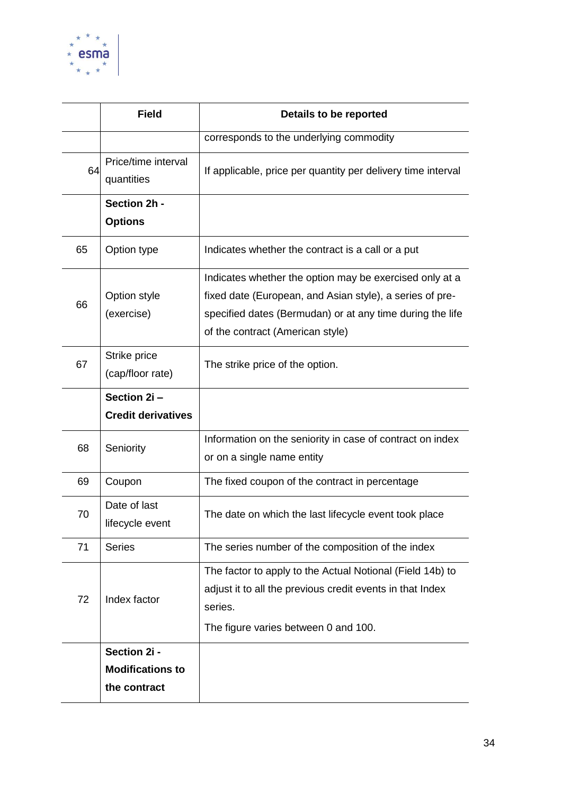

|    | <b>Field</b>                      | Details to be reported                                                                                                                                                                                               |  |
|----|-----------------------------------|----------------------------------------------------------------------------------------------------------------------------------------------------------------------------------------------------------------------|--|
|    |                                   | corresponds to the underlying commodity                                                                                                                                                                              |  |
| 64 | Price/time interval<br>quantities | If applicable, price per quantity per delivery time interval                                                                                                                                                         |  |
|    | Section 2h -<br><b>Options</b>    |                                                                                                                                                                                                                      |  |
| 65 | Option type                       | Indicates whether the contract is a call or a put                                                                                                                                                                    |  |
| 66 | Option style<br>(exercise)        | Indicates whether the option may be exercised only at a<br>fixed date (European, and Asian style), a series of pre-<br>specified dates (Bermudan) or at any time during the life<br>of the contract (American style) |  |
| 67 | Strike price<br>(cap/floor rate)  | The strike price of the option.                                                                                                                                                                                      |  |
|    | Section 2i-                       |                                                                                                                                                                                                                      |  |
|    | <b>Credit derivatives</b>         |                                                                                                                                                                                                                      |  |
| 68 | Seniority                         | Information on the seniority in case of contract on index<br>or on a single name entity                                                                                                                              |  |
| 69 | Coupon                            | The fixed coupon of the contract in percentage                                                                                                                                                                       |  |
| 70 | Date of last<br>lifecycle event   | The date on which the last lifecycle event took place                                                                                                                                                                |  |
| 71 | <b>Series</b>                     | The series number of the composition of the index                                                                                                                                                                    |  |
| 72 | Index factor                      | The factor to apply to the Actual Notional (Field 14b) to<br>adjust it to all the previous credit events in that Index<br>series.<br>The figure varies between 0 and 100.                                            |  |
|    | Section 2i -                      |                                                                                                                                                                                                                      |  |
|    | <b>Modifications to</b>           |                                                                                                                                                                                                                      |  |
|    | the contract                      |                                                                                                                                                                                                                      |  |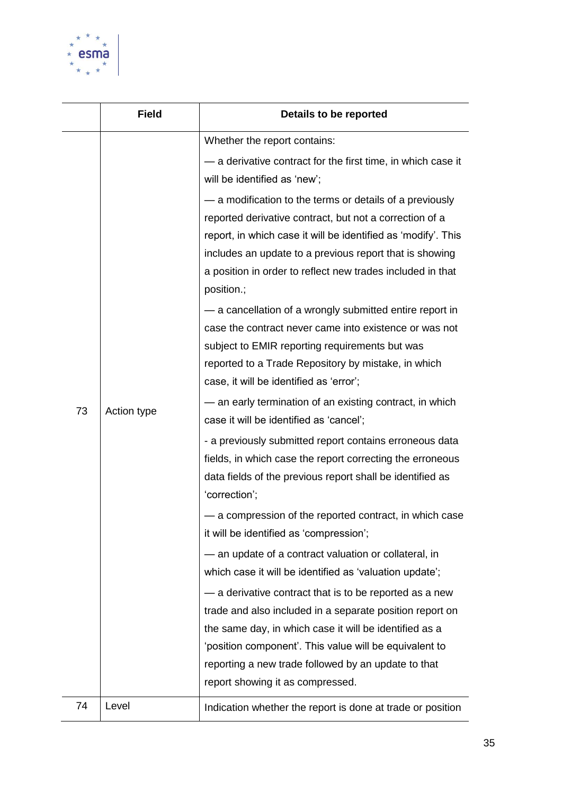

|    | <b>Field</b> | Details to be reported                                                                                                                                                                                                                                                                                                                                                                                                                                                                                                                                                                                                                                                                                                                                                                                                                                                                                                                                                                                                                                                                                                                                                                                                                                                                                                                                                                                                                                                                                                                                                                                             |  |
|----|--------------|--------------------------------------------------------------------------------------------------------------------------------------------------------------------------------------------------------------------------------------------------------------------------------------------------------------------------------------------------------------------------------------------------------------------------------------------------------------------------------------------------------------------------------------------------------------------------------------------------------------------------------------------------------------------------------------------------------------------------------------------------------------------------------------------------------------------------------------------------------------------------------------------------------------------------------------------------------------------------------------------------------------------------------------------------------------------------------------------------------------------------------------------------------------------------------------------------------------------------------------------------------------------------------------------------------------------------------------------------------------------------------------------------------------------------------------------------------------------------------------------------------------------------------------------------------------------------------------------------------------------|--|
| 73 | Action type  | Whether the report contains:<br>- a derivative contract for the first time, in which case it<br>will be identified as 'new';<br>- a modification to the terms or details of a previously<br>reported derivative contract, but not a correction of a<br>report, in which case it will be identified as 'modify'. This<br>includes an update to a previous report that is showing<br>a position in order to reflect new trades included in that<br>position.;<br>- a cancellation of a wrongly submitted entire report in<br>case the contract never came into existence or was not<br>subject to EMIR reporting requirements but was<br>reported to a Trade Repository by mistake, in which<br>case, it will be identified as 'error';<br>- an early termination of an existing contract, in which<br>case it will be identified as 'cancel';<br>- a previously submitted report contains erroneous data<br>fields, in which case the report correcting the erroneous<br>data fields of the previous report shall be identified as<br>'correction';<br>— a compression of the reported contract, in which case<br>it will be identified as 'compression';<br>- an update of a contract valuation or collateral, in<br>which case it will be identified as 'valuation update';<br>- a derivative contract that is to be reported as a new<br>trade and also included in a separate position report on<br>the same day, in which case it will be identified as a<br>'position component'. This value will be equivalent to<br>reporting a new trade followed by an update to that<br>report showing it as compressed. |  |
| 74 | Level        | Indication whether the report is done at trade or position                                                                                                                                                                                                                                                                                                                                                                                                                                                                                                                                                                                                                                                                                                                                                                                                                                                                                                                                                                                                                                                                                                                                                                                                                                                                                                                                                                                                                                                                                                                                                         |  |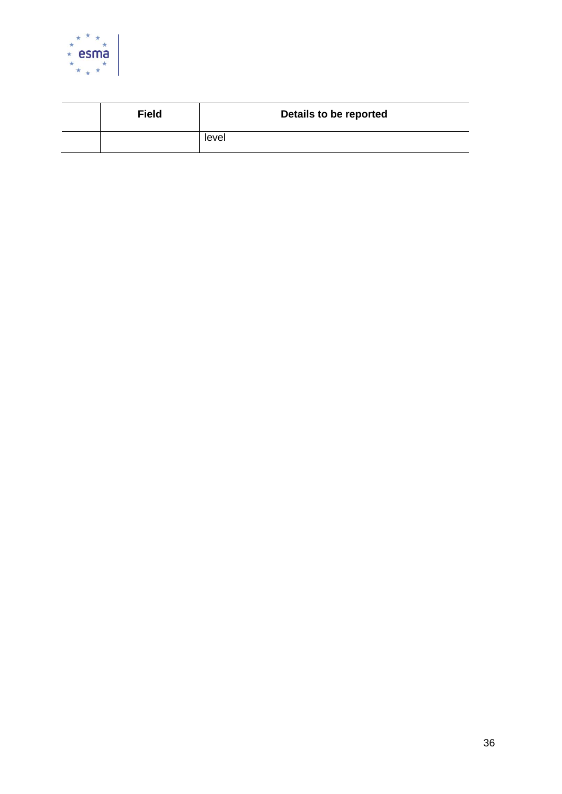

| <b>Field</b> | Details to be reported |
|--------------|------------------------|
|              | level                  |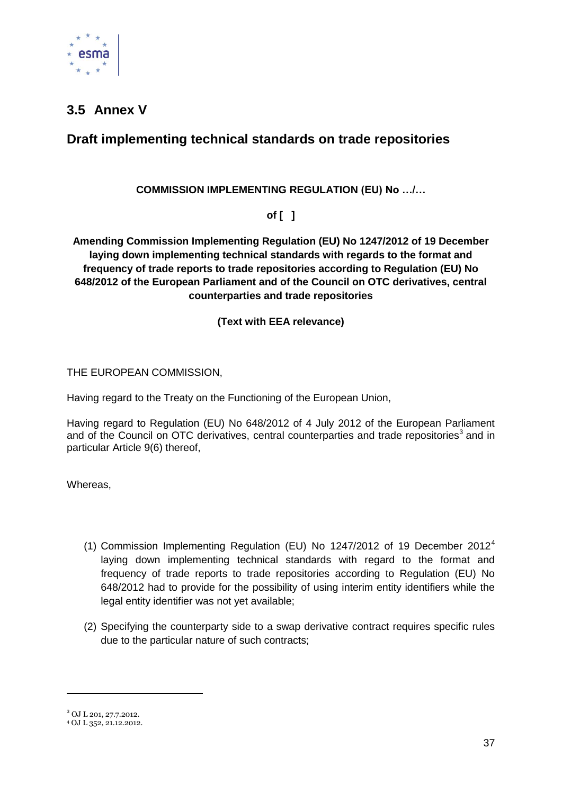

## <span id="page-36-0"></span>**3.5 Annex V**

## **Draft implementing technical standards on trade repositories**

#### **COMMISSION IMPLEMENTING REGULATION (EU) No …/…**

**of [ ]**

**Amending Commission Implementing Regulation (EU) No 1247/2012 of 19 December laying down implementing technical standards with regards to the format and frequency of trade reports to trade repositories according to Regulation (EU) No 648/2012 of the European Parliament and of the Council on OTC derivatives, central counterparties and trade repositories**

**(Text with EEA relevance)**

THE EUROPEAN COMMISSION,

Having regard to the Treaty on the Functioning of the European Union,

Having regard to Regulation (EU) No 648/2012 of 4 July 2012 of the European Parliament and of the Council on OTC derivatives, central counterparties and trade repositories<sup>3</sup> and in particular Article 9(6) thereof,

Whereas,

- (1) Commission Implementing Regulation (EU) No 1247/2012 of 19 December 2012<sup>4</sup> laying down implementing technical standards with regard to the format and frequency of trade reports to trade repositories according to Regulation (EU) No 648/2012 had to provide for the possibility of using interim entity identifiers while the legal entity identifier was not yet available;
- (2) Specifying the counterparty side to a swap derivative contract requires specific rules due to the particular nature of such contracts;

 $\overline{a}$ 

<sup>3</sup> OJ L 201, 27.7.2012.

<sup>4</sup> OJ L 352, 21.12.2012.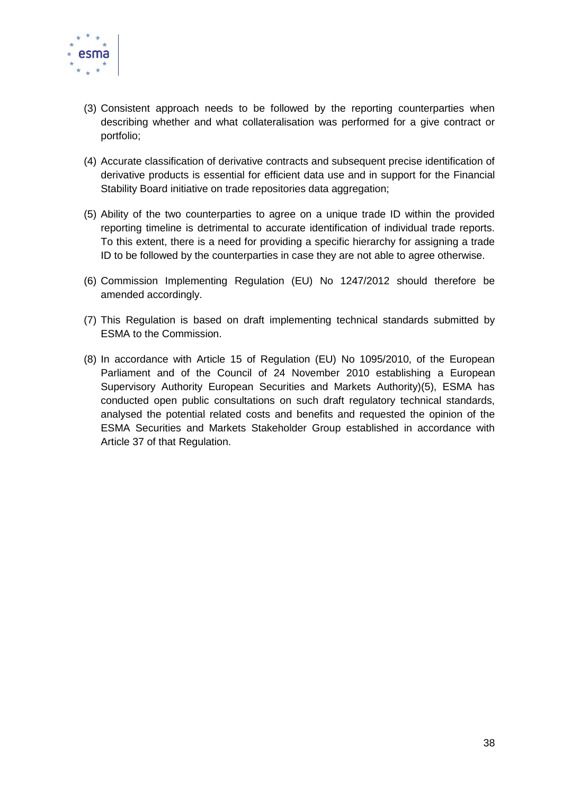

- (3) Consistent approach needs to be followed by the reporting counterparties when describing whether and what collateralisation was performed for a give contract or portfolio;
- (4) Accurate classification of derivative contracts and subsequent precise identification of derivative products is essential for efficient data use and in support for the Financial Stability Board initiative on trade repositories data aggregation;
- (5) Ability of the two counterparties to agree on a unique trade ID within the provided reporting timeline is detrimental to accurate identification of individual trade reports. To this extent, there is a need for providing a specific hierarchy for assigning a trade ID to be followed by the counterparties in case they are not able to agree otherwise.
- (6) Commission Implementing Regulation (EU) No 1247/2012 should therefore be amended accordingly.
- (7) This Regulation is based on draft implementing technical standards submitted by ESMA to the Commission.
- (8) In accordance with Article 15 of Regulation (EU) No 1095/2010, of the European Parliament and of the Council of 24 November 2010 establishing a European Supervisory Authority European Securities and Markets Authority)(5), ESMA has conducted open public consultations on such draft regulatory technical standards, analysed the potential related costs and benefits and requested the opinion of the ESMA Securities and Markets Stakeholder Group established in accordance with Article 37 of that Regulation.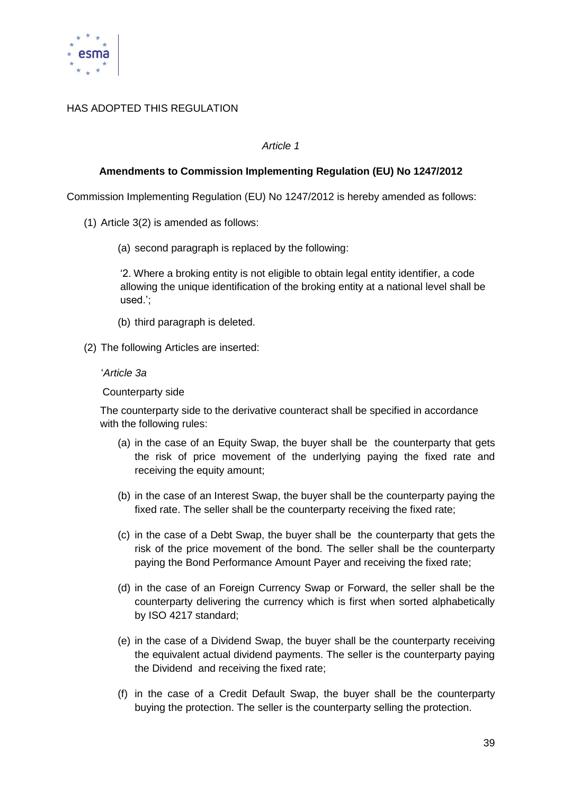

#### HAS ADOPTED THIS REGULATION

#### *Article 1*

#### **Amendments to Commission Implementing Regulation (EU) No 1247/2012**

Commission Implementing Regulation (EU) No 1247/2012 is hereby amended as follows:

- (1) Article 3(2) is amended as follows:
	- (a) second paragraph is replaced by the following:

‗2. Where a broking entity is not eligible to obtain legal entity identifier, a code allowing the unique identification of the broking entity at a national level shall be used.';

- (b) third paragraph is deleted.
- (2) The following Articles are inserted:

#### ‗*Article 3a*

Counterparty side

The counterparty side to the derivative counteract shall be specified in accordance with the following rules:

- (a) in the case of an Equity Swap, the buyer shall be the counterparty that gets the risk of price movement of the underlying paying the fixed rate and receiving the equity amount:
- (b) in the case of an Interest Swap, the buyer shall be the counterparty paying the fixed rate. The seller shall be the counterparty receiving the fixed rate;
- (c) in the case of a Debt Swap, the buyer shall be the counterparty that gets the risk of the price movement of the bond. The seller shall be the counterparty paying the Bond Performance Amount Payer and receiving the fixed rate;
- (d) in the case of an Foreign Currency Swap or Forward, the seller shall be the counterparty delivering the currency which is first when sorted alphabetically by ISO 4217 standard;
- (e) in the case of a Dividend Swap, the buyer shall be the counterparty receiving the equivalent actual dividend payments. The seller is the counterparty paying the Dividend and receiving the fixed rate;
- (f) in the case of a Credit Default Swap, the buyer shall be the counterparty buying the protection. The seller is the counterparty selling the protection.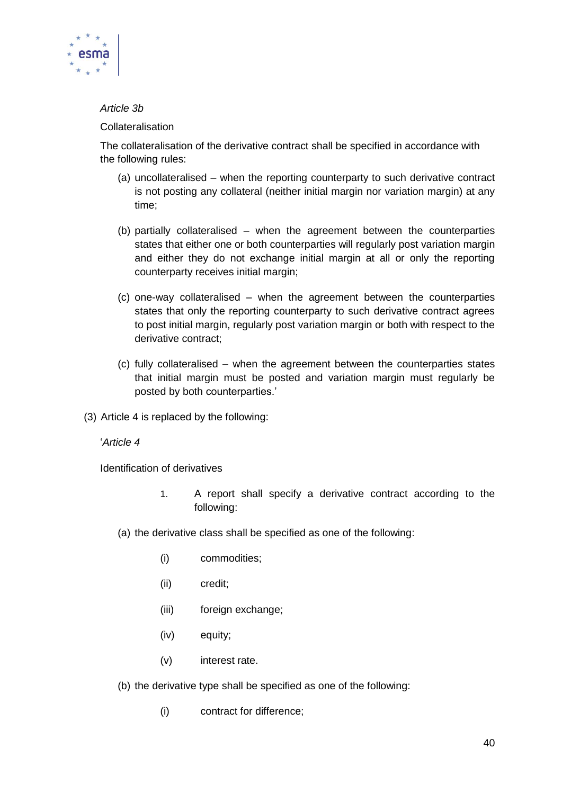

#### *Article 3b*

#### **Collateralisation**

The collateralisation of the derivative contract shall be specified in accordance with the following rules:

- (a) uncollateralised when the reporting counterparty to such derivative contract is not posting any collateral (neither initial margin nor variation margin) at any time;
- (b) partially collateralised when the agreement between the counterparties states that either one or both counterparties will regularly post variation margin and either they do not exchange initial margin at all or only the reporting counterparty receives initial margin;
- (c) one-way collateralised when the agreement between the counterparties states that only the reporting counterparty to such derivative contract agrees to post initial margin, regularly post variation margin or both with respect to the derivative contract;
- (c) fully collateralised when the agreement between the counterparties states that initial margin must be posted and variation margin must regularly be posted by both counterparties.'
- (3) Article 4 is replaced by the following:

‗*Article 4*

Identification of derivatives

- 1. A report shall specify a derivative contract according to the following:
- (a) the derivative class shall be specified as one of the following:
	- (i) commodities;
	- (ii) credit;
	- (iii) foreign exchange;
	- (iv) equity;
	- (v) interest rate.
- (b) the derivative type shall be specified as one of the following:
	- (i) contract for difference;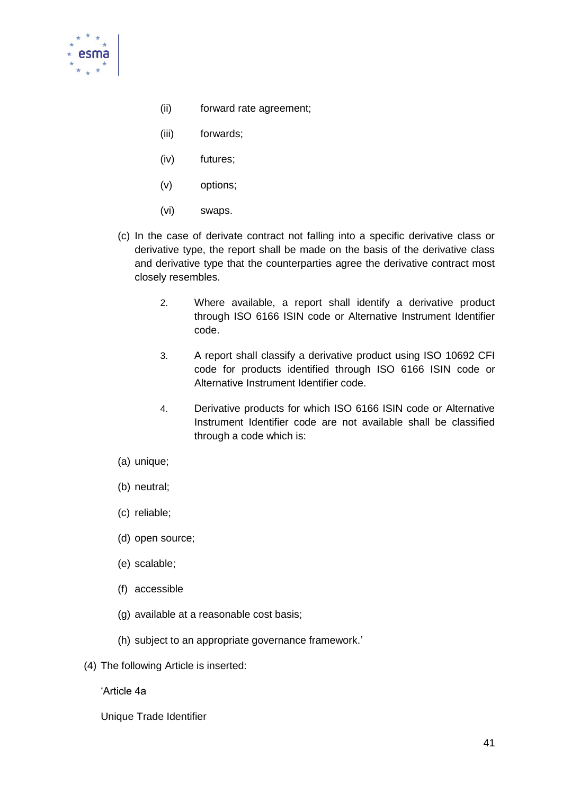

- (ii) forward rate agreement;
- (iii) forwards;
- (iv) futures;
- (v) options;
- (vi) swaps.
- (c) In the case of derivate contract not falling into a specific derivative class or derivative type, the report shall be made on the basis of the derivative class and derivative type that the counterparties agree the derivative contract most closely resembles.
	- 2. Where available, a report shall identify a derivative product through ISO 6166 ISIN code or Alternative Instrument Identifier code.
	- 3. A report shall classify a derivative product using ISO 10692 CFI code for products identified through ISO 6166 ISIN code or Alternative Instrument Identifier code.
	- 4. Derivative products for which ISO 6166 ISIN code or Alternative Instrument Identifier code are not available shall be classified through a code which is:
- (a) unique;
- (b) neutral;
- (c) reliable;
- (d) open source;
- (e) scalable;
- (f) accessible
- (g) available at a reasonable cost basis;
- (h) subject to an appropriate governance framework.'
- (4) The following Article is inserted:

‗Article 4a

Unique Trade Identifier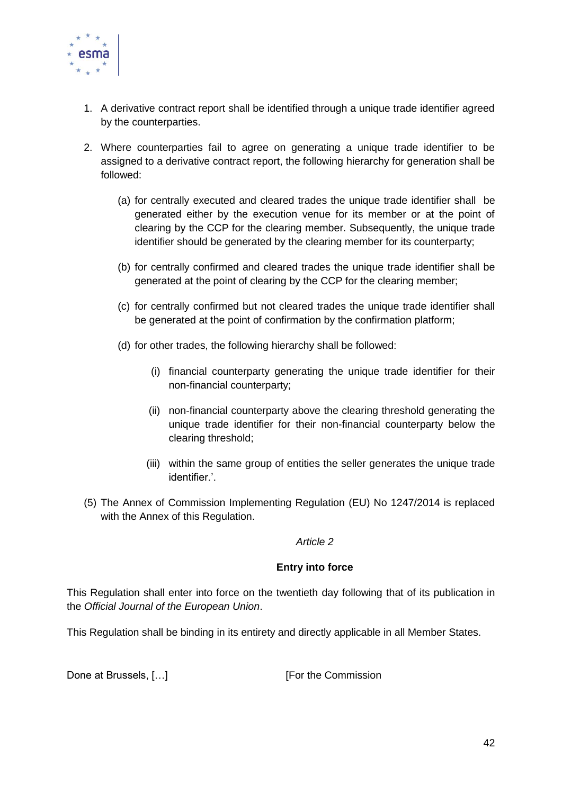

- 1. A derivative contract report shall be identified through a unique trade identifier agreed by the counterparties.
- 2. Where counterparties fail to agree on generating a unique trade identifier to be assigned to a derivative contract report, the following hierarchy for generation shall be followed:
	- (a) for centrally executed and cleared trades the unique trade identifier shall be generated either by the execution venue for its member or at the point of clearing by the CCP for the clearing member. Subsequently, the unique trade identifier should be generated by the clearing member for its counterparty;
	- (b) for centrally confirmed and cleared trades the unique trade identifier shall be generated at the point of clearing by the CCP for the clearing member;
	- (c) for centrally confirmed but not cleared trades the unique trade identifier shall be generated at the point of confirmation by the confirmation platform;
	- (d) for other trades, the following hierarchy shall be followed:
		- (i) financial counterparty generating the unique trade identifier for their non-financial counterparty;
		- (ii) non-financial counterparty above the clearing threshold generating the unique trade identifier for their non-financial counterparty below the clearing threshold;
		- (iii) within the same group of entities the seller generates the unique trade identifier.'.
- (5) The Annex of Commission Implementing Regulation (EU) No 1247/2014 is replaced with the Annex of this Regulation.

#### *Article 2*

#### **Entry into force**

This Regulation shall enter into force on the twentieth day following that of its publication in the *Official Journal of the European Union*.

This Regulation shall be binding in its entirety and directly applicable in all Member States.

Done at Brussels, [...] [For the Commission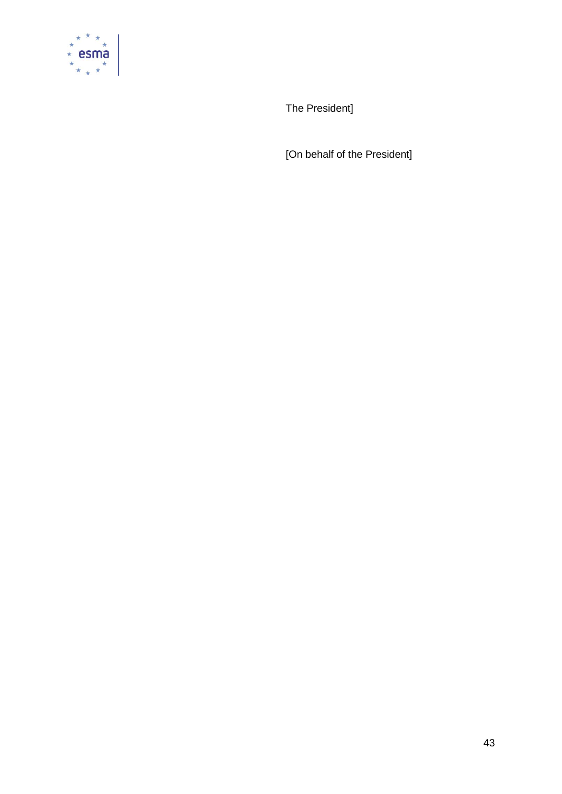

The President]

[On behalf of the President]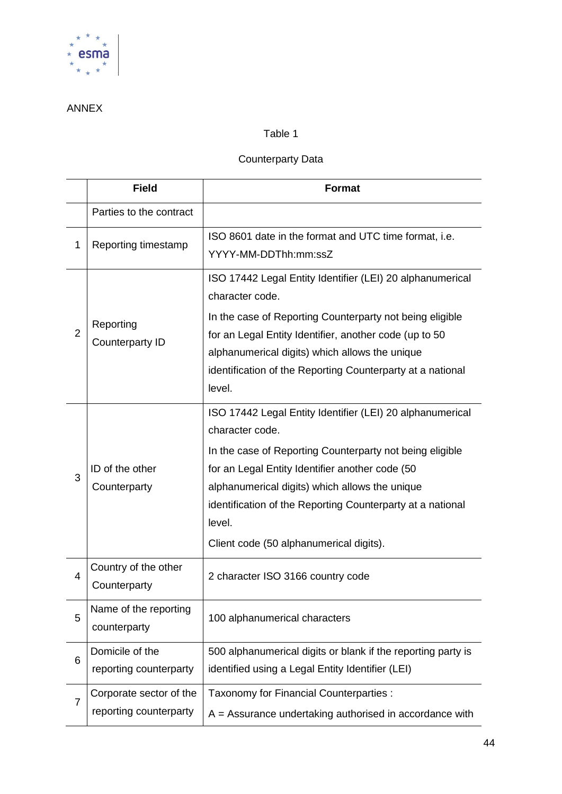

## ANNEX

### Table 1

#### Counterparty Data

|                | <b>Field</b>                                      | <b>Format</b>                                                                                                                                                                                                                                                                                                                                                    |  |
|----------------|---------------------------------------------------|------------------------------------------------------------------------------------------------------------------------------------------------------------------------------------------------------------------------------------------------------------------------------------------------------------------------------------------------------------------|--|
|                | Parties to the contract                           |                                                                                                                                                                                                                                                                                                                                                                  |  |
| 1              | Reporting timestamp                               | ISO 8601 date in the format and UTC time format, i.e.<br>YYYY-MM-DDThh:mm:ssZ                                                                                                                                                                                                                                                                                    |  |
| $\overline{2}$ | Reporting<br>Counterparty ID                      | ISO 17442 Legal Entity Identifier (LEI) 20 alphanumerical<br>character code.<br>In the case of Reporting Counterparty not being eligible<br>for an Legal Entity Identifier, another code (up to 50<br>alphanumerical digits) which allows the unique<br>identification of the Reporting Counterparty at a national<br>level.                                     |  |
| 3              | ID of the other<br>Counterparty                   | ISO 17442 Legal Entity Identifier (LEI) 20 alphanumerical<br>character code.<br>In the case of Reporting Counterparty not being eligible<br>for an Legal Entity Identifier another code (50<br>alphanumerical digits) which allows the unique<br>identification of the Reporting Counterparty at a national<br>level.<br>Client code (50 alphanumerical digits). |  |
| 4              | Country of the other<br>Counterparty              | 2 character ISO 3166 country code                                                                                                                                                                                                                                                                                                                                |  |
| 5              | Name of the reporting<br>counterparty             | 100 alphanumerical characters                                                                                                                                                                                                                                                                                                                                    |  |
| 6              | Domicile of the<br>reporting counterparty         | 500 alphanumerical digits or blank if the reporting party is<br>identified using a Legal Entity Identifier (LEI)                                                                                                                                                                                                                                                 |  |
| $\overline{7}$ | Corporate sector of the<br>reporting counterparty | Taxonomy for Financial Counterparties :<br>$A =$ Assurance undertaking authorised in accordance with                                                                                                                                                                                                                                                             |  |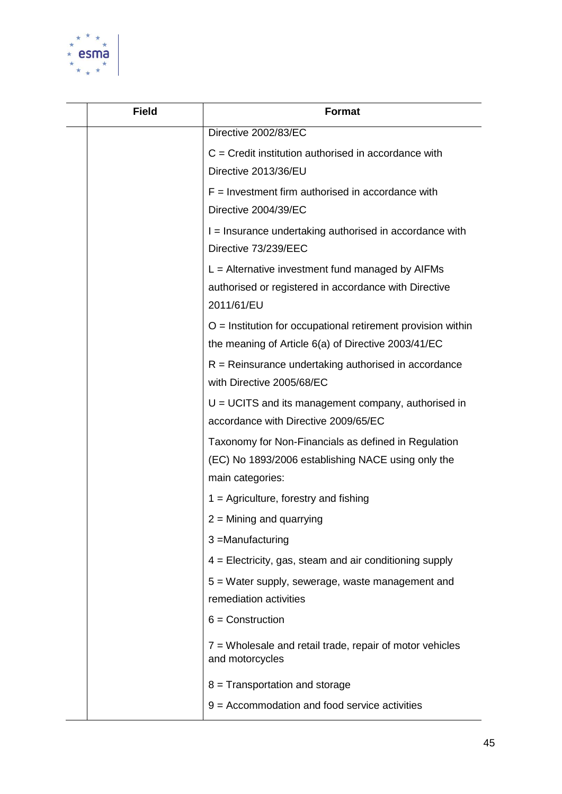

| <b>Field</b> | <b>Format</b>                                                                                                                  |
|--------------|--------------------------------------------------------------------------------------------------------------------------------|
|              | Directive 2002/83/EC                                                                                                           |
|              | $C =$ Credit institution authorised in accordance with<br>Directive 2013/36/EU                                                 |
|              | $F =$ Investment firm authorised in accordance with<br>Directive 2004/39/EC                                                    |
|              | I = Insurance undertaking authorised in accordance with<br>Directive 73/239/EEC                                                |
|              | $L =$ Alternative investment fund managed by AIFMs<br>authorised or registered in accordance with Directive<br>2011/61/EU      |
|              | $O =$ Institution for occupational retirement provision within<br>the meaning of Article 6(a) of Directive 2003/41/EC          |
|              | $R =$ Reinsurance undertaking authorised in accordance<br>with Directive 2005/68/EC                                            |
|              | $U = UCITS$ and its management company, authorised in<br>accordance with Directive 2009/65/EC                                  |
|              | Taxonomy for Non-Financials as defined in Regulation<br>(EC) No 1893/2006 establishing NACE using only the<br>main categories: |
|              | $1 =$ Agriculture, forestry and fishing                                                                                        |
|              | $2 =$ Mining and quarrying                                                                                                     |
|              | 3 =Manufacturing                                                                                                               |
|              | 4 = Electricity, gas, steam and air conditioning supply                                                                        |
|              | 5 = Water supply, sewerage, waste management and<br>remediation activities                                                     |
|              | $6 =$ Construction                                                                                                             |
|              | 7 = Wholesale and retail trade, repair of motor vehicles<br>and motorcycles                                                    |
|              | 8 = Transportation and storage                                                                                                 |
|              | $9 =$ Accommodation and food service activities                                                                                |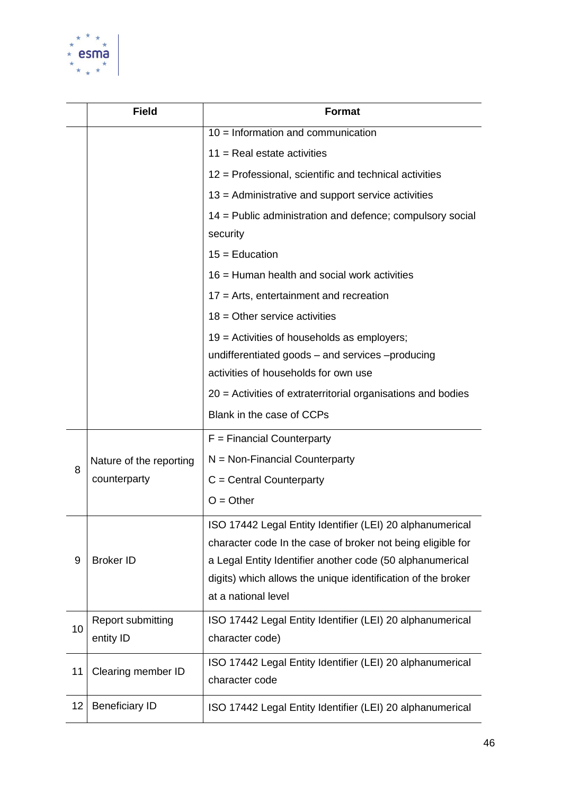

|    | <b>Field</b>                            | <b>Format</b>                                                                                                                                                                                                                                                                |
|----|-----------------------------------------|------------------------------------------------------------------------------------------------------------------------------------------------------------------------------------------------------------------------------------------------------------------------------|
|    |                                         | $10 =$ Information and communication                                                                                                                                                                                                                                         |
|    |                                         | $11$ = Real estate activities                                                                                                                                                                                                                                                |
|    |                                         | 12 = Professional, scientific and technical activities                                                                                                                                                                                                                       |
|    |                                         | 13 = Administrative and support service activities                                                                                                                                                                                                                           |
|    |                                         | 14 = Public administration and defence; compulsory social<br>security                                                                                                                                                                                                        |
|    |                                         | $15 =$ Education                                                                                                                                                                                                                                                             |
|    |                                         | 16 = Human health and social work activities                                                                                                                                                                                                                                 |
|    |                                         | $17$ = Arts, entertainment and recreation                                                                                                                                                                                                                                    |
|    |                                         | $18$ = Other service activities                                                                                                                                                                                                                                              |
|    |                                         | 19 = Activities of households as employers;                                                                                                                                                                                                                                  |
|    |                                         | undifferentiated goods - and services -producing                                                                                                                                                                                                                             |
|    |                                         | activities of households for own use                                                                                                                                                                                                                                         |
|    |                                         | 20 = Activities of extraterritorial organisations and bodies                                                                                                                                                                                                                 |
|    |                                         | Blank in the case of CCPs                                                                                                                                                                                                                                                    |
|    | Nature of the reporting<br>counterparty | $F =$ Financial Counterparty                                                                                                                                                                                                                                                 |
| 8  |                                         | $N = Non-Financial Counterparty$                                                                                                                                                                                                                                             |
|    |                                         | $C =$ Central Counterparty                                                                                                                                                                                                                                                   |
|    |                                         | $O = Other$                                                                                                                                                                                                                                                                  |
| 9  | <b>Broker ID</b>                        | ISO 17442 Legal Entity Identifier (LEI) 20 alphanumerical<br>character code In the case of broker not being eligible for<br>a Legal Entity Identifier another code (50 alphanumerical<br>digits) which allows the unique identification of the broker<br>at a national level |
| 10 | Report submitting<br>entity ID          | ISO 17442 Legal Entity Identifier (LEI) 20 alphanumerical<br>character code)                                                                                                                                                                                                 |
| 11 | Clearing member ID                      | ISO 17442 Legal Entity Identifier (LEI) 20 alphanumerical<br>character code                                                                                                                                                                                                  |
| 12 | <b>Beneficiary ID</b>                   | ISO 17442 Legal Entity Identifier (LEI) 20 alphanumerical                                                                                                                                                                                                                    |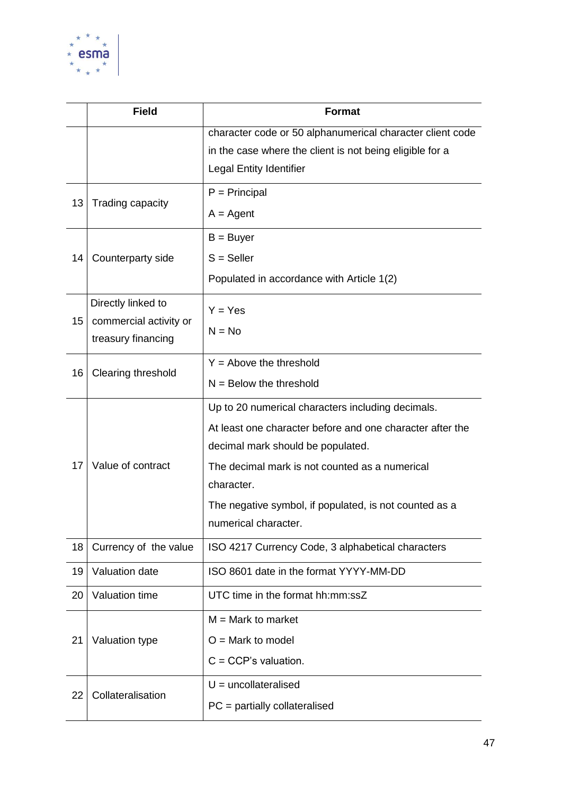

|    | <b>Field</b>           | <b>Format</b>                                             |  |
|----|------------------------|-----------------------------------------------------------|--|
|    |                        | character code or 50 alphanumerical character client code |  |
|    |                        | in the case where the client is not being eligible for a  |  |
|    |                        | Legal Entity Identifier                                   |  |
| 13 | Trading capacity       | $P = Principal$                                           |  |
|    |                        | $A = Agent$                                               |  |
|    |                        | $B = Buyer$                                               |  |
| 14 | Counterparty side      | $S =$ Seller                                              |  |
|    |                        | Populated in accordance with Article 1(2)                 |  |
|    | Directly linked to     | $Y = Yes$                                                 |  |
| 15 | commercial activity or | $N = No$                                                  |  |
|    | treasury financing     |                                                           |  |
| 16 | Clearing threshold     | $Y =$ Above the threshold                                 |  |
|    |                        | $N =$ Below the threshold                                 |  |
|    |                        | Up to 20 numerical characters including decimals.         |  |
|    |                        | At least one character before and one character after the |  |
|    |                        | decimal mark should be populated.                         |  |
| 17 | Value of contract      | The decimal mark is not counted as a numerical            |  |
|    |                        | character.                                                |  |
|    |                        | The negative symbol, if populated, is not counted as a    |  |
|    |                        | numerical character.                                      |  |
| 18 | Currency of the value  | ISO 4217 Currency Code, 3 alphabetical characters         |  |
| 19 | Valuation date         | ISO 8601 date in the format YYYY-MM-DD                    |  |
| 20 | Valuation time         | UTC time in the format hh:mm:ssZ                          |  |
|    |                        | $M = Mark$ to market                                      |  |
| 21 | Valuation type         | $O =$ Mark to model                                       |  |
|    |                        | $C = CCP's$ valuation.                                    |  |
| 22 | Collateralisation      | $U =$ uncollateralised                                    |  |
|    |                        | $PC =$ partially collateralised                           |  |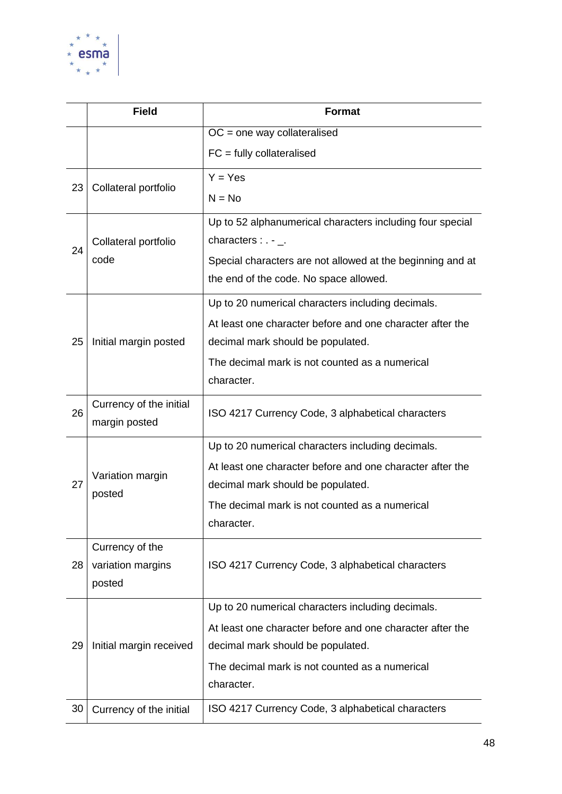

|    | <b>Field</b>               | <b>Format</b>                                              |
|----|----------------------------|------------------------------------------------------------|
|    |                            | $OC = one way collateralised$                              |
|    |                            | $FC = fully collateralised$                                |
| 23 | Collateral portfolio       | $Y = Yes$                                                  |
|    |                            | $N = No$                                                   |
|    |                            | Up to 52 alphanumerical characters including four special  |
| 24 | Collateral portfolio       | characters : $. -$ _.                                      |
|    | code                       | Special characters are not allowed at the beginning and at |
|    |                            | the end of the code. No space allowed.                     |
|    |                            | Up to 20 numerical characters including decimals.          |
|    |                            | At least one character before and one character after the  |
| 25 | Initial margin posted      | decimal mark should be populated.                          |
|    |                            | The decimal mark is not counted as a numerical             |
|    |                            | character.                                                 |
| 26 | Currency of the initial    | ISO 4217 Currency Code, 3 alphabetical characters          |
|    | margin posted              |                                                            |
|    |                            | Up to 20 numerical characters including decimals.          |
| 27 | Variation margin<br>posted | At least one character before and one character after the  |
|    |                            | decimal mark should be populated.                          |
|    |                            | The decimal mark is not counted as a numerical             |
|    |                            | character.                                                 |
|    | Currency of the            |                                                            |
| 28 | variation margins          | ISO 4217 Currency Code, 3 alphabetical characters          |
|    | posted                     |                                                            |
|    |                            | Up to 20 numerical characters including decimals.          |
|    |                            | At least one character before and one character after the  |
| 29 | Initial margin received    | decimal mark should be populated.                          |
|    |                            | The decimal mark is not counted as a numerical             |
|    |                            | character.                                                 |
| 30 | Currency of the initial    | ISO 4217 Currency Code, 3 alphabetical characters          |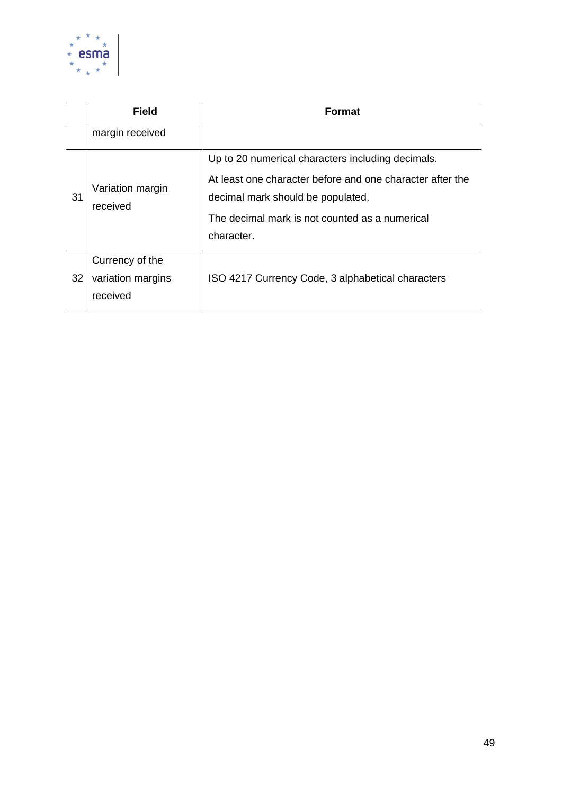

|    | <b>Field</b>                                     | <b>Format</b>                                                                                                                                                                                                       |
|----|--------------------------------------------------|---------------------------------------------------------------------------------------------------------------------------------------------------------------------------------------------------------------------|
|    | margin received                                  |                                                                                                                                                                                                                     |
| 31 | Variation margin<br>received                     | Up to 20 numerical characters including decimals.<br>At least one character before and one character after the<br>decimal mark should be populated.<br>The decimal mark is not counted as a numerical<br>character. |
| 32 | Currency of the<br>variation margins<br>received | ISO 4217 Currency Code, 3 alphabetical characters                                                                                                                                                                   |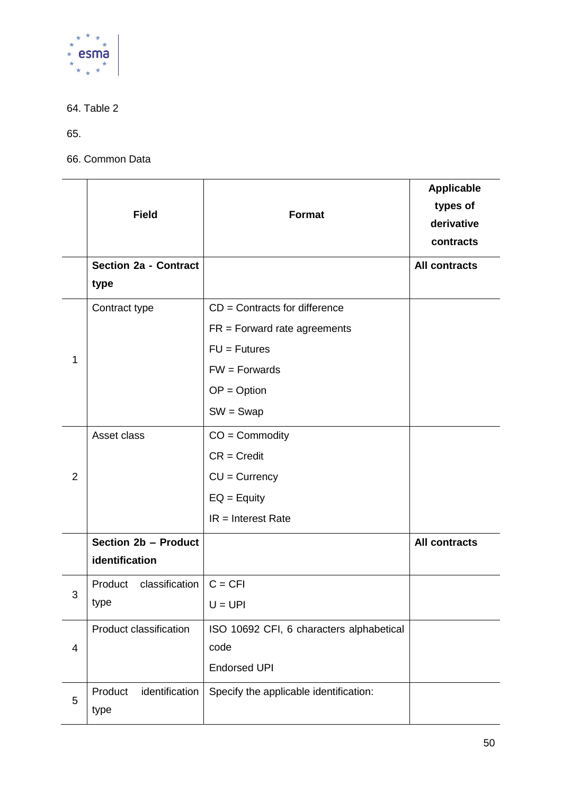

64. Table 2

65.

66. Common Data

|                | <b>Field</b>                           | Format                                                                                                                                 | <b>Applicable</b><br>types of<br>derivative<br>contracts |
|----------------|----------------------------------------|----------------------------------------------------------------------------------------------------------------------------------------|----------------------------------------------------------|
|                | <b>Section 2a - Contract</b><br>type   |                                                                                                                                        | <b>All contracts</b>                                     |
| 1              | Contract type                          | $CD =$ Contracts for difference<br>$FR =$ Forward rate agreements<br>$FU = Futures$<br>$FW = Forwards$<br>$OP = Option$<br>$SW = Swap$ |                                                          |
| $\overline{2}$ | Asset class                            | $CO =$ Commodity<br>$CR = Credit$<br>$CU = Currency$<br>$EQ =$ Equity<br>$IR = Interest Rate$                                          |                                                          |
|                | Section 2b - Product<br>identification |                                                                                                                                        | <b>All contracts</b>                                     |
| 3              | Product classification<br>type         | $C = CFI$<br>$U = UPI$                                                                                                                 |                                                          |
| 4              | Product classification                 | ISO 10692 CFI, 6 characters alphabetical<br>code<br><b>Endorsed UPI</b>                                                                |                                                          |
| 5              | identification<br>Product<br>type      | Specify the applicable identification:                                                                                                 |                                                          |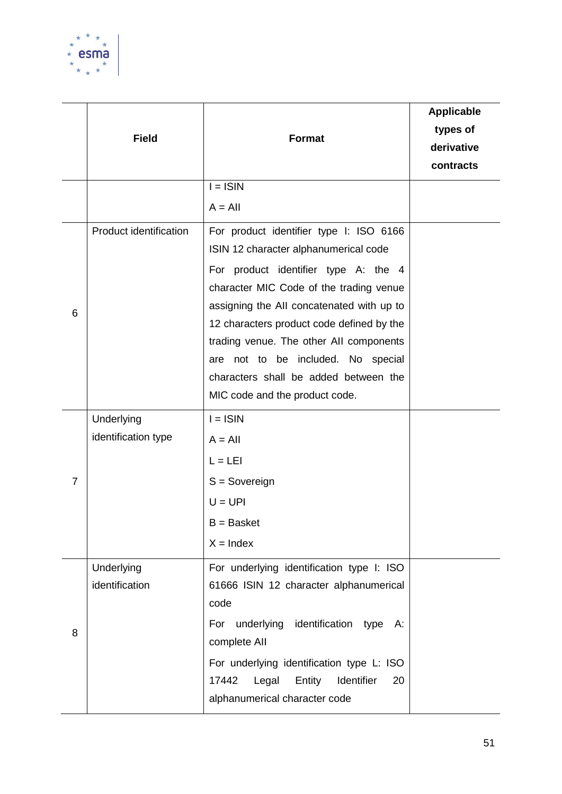

|   | <b>Field</b>                      | Format                                                                                                                                                                                                                                                                                                                                                                                                                    | <b>Applicable</b><br>types of<br>derivative<br>contracts |
|---|-----------------------------------|---------------------------------------------------------------------------------------------------------------------------------------------------------------------------------------------------------------------------------------------------------------------------------------------------------------------------------------------------------------------------------------------------------------------------|----------------------------------------------------------|
|   |                                   | $I = ISIN$<br>$A = All$                                                                                                                                                                                                                                                                                                                                                                                                   |                                                          |
| 6 | Product identification            | For product identifier type I: ISO 6166<br>ISIN 12 character alphanumerical code<br>For product identifier type A: the 4<br>character MIC Code of the trading venue<br>assigning the All concatenated with up to<br>12 characters product code defined by the<br>trading venue. The other All components<br>are not to be included. No special<br>characters shall be added between the<br>MIC code and the product code. |                                                          |
| 7 | Underlying<br>identification type | $I = ISIN$<br>$A = All$<br>$L = L E1$<br>$S =$ Sovereign<br>$U = UPI$<br>$B =$ Basket<br>$X = Index$                                                                                                                                                                                                                                                                                                                      |                                                          |
| 8 | Underlying<br>identification      | For underlying identification type I: ISO<br>61666 ISIN 12 character alphanumerical<br>code<br>underlying identification type<br>For<br>А:<br>complete All<br>For underlying identification type L: ISO<br>Identifier<br>17442<br>Legal<br>Entity<br>20<br>alphanumerical character code                                                                                                                                  |                                                          |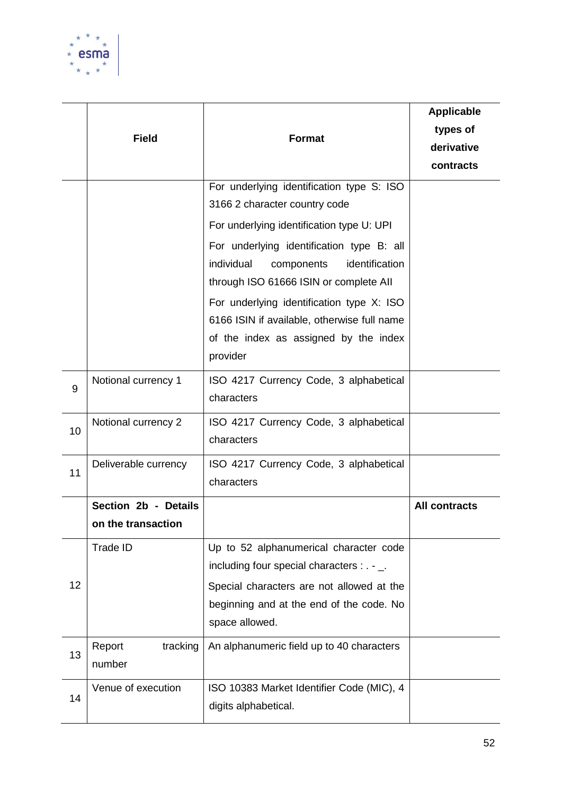

|    | <b>Field</b>                               | <b>Format</b>                                                                                                                                                                                   | <b>Applicable</b><br>types of<br>derivative<br>contracts |
|----|--------------------------------------------|-------------------------------------------------------------------------------------------------------------------------------------------------------------------------------------------------|----------------------------------------------------------|
|    |                                            | For underlying identification type S: ISO<br>3166 2 character country code                                                                                                                      |                                                          |
|    |                                            | For underlying identification type U: UPI                                                                                                                                                       |                                                          |
|    |                                            | For underlying identification type B: all<br>identification<br>individual<br>components<br>through ISO 61666 ISIN or complete All                                                               |                                                          |
|    |                                            | For underlying identification type X: ISO<br>6166 ISIN if available, otherwise full name<br>of the index as assigned by the index<br>provider                                                   |                                                          |
| 9  | Notional currency 1                        | ISO 4217 Currency Code, 3 alphabetical<br>characters                                                                                                                                            |                                                          |
| 10 | Notional currency 2                        | ISO 4217 Currency Code, 3 alphabetical<br>characters                                                                                                                                            |                                                          |
| 11 | Deliverable currency                       | ISO 4217 Currency Code, 3 alphabetical<br>characters                                                                                                                                            |                                                          |
|    | Section 2b - Details<br>on the transaction |                                                                                                                                                                                                 | <b>All contracts</b>                                     |
| 12 | Trade ID                                   | Up to 52 alphanumerical character code<br>including four special characters : . - _.<br>Special characters are not allowed at the<br>beginning and at the end of the code. No<br>space allowed. |                                                          |
| 13 | Report<br>tracking<br>number               | An alphanumeric field up to 40 characters                                                                                                                                                       |                                                          |
| 14 | Venue of execution                         | ISO 10383 Market Identifier Code (MIC), 4<br>digits alphabetical.                                                                                                                               |                                                          |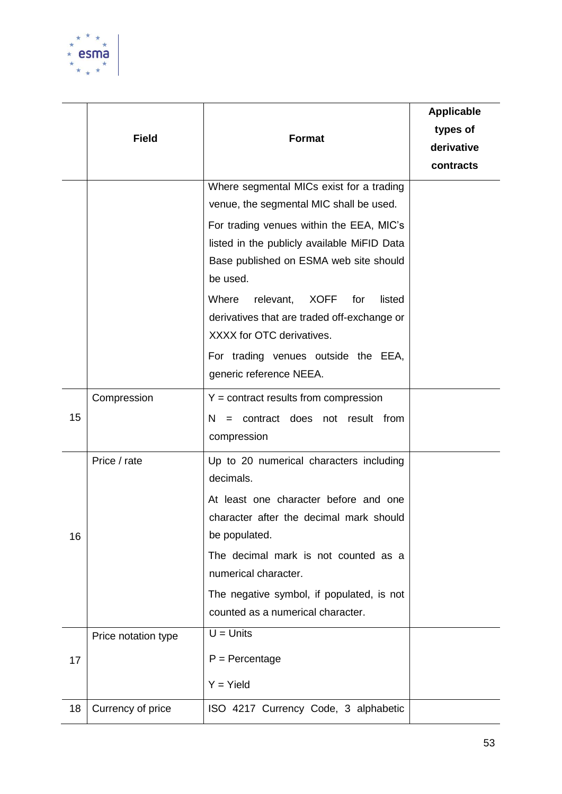

|    | <b>Field</b>        | <b>Format</b>                                                                                     | <b>Applicable</b><br>types of<br>derivative<br>contracts |
|----|---------------------|---------------------------------------------------------------------------------------------------|----------------------------------------------------------|
|    |                     | Where segmental MICs exist for a trading                                                          |                                                          |
|    |                     | venue, the segmental MIC shall be used.                                                           |                                                          |
|    |                     | For trading venues within the EEA, MIC's                                                          |                                                          |
|    |                     | listed in the publicly available MiFID Data<br>Base published on ESMA web site should<br>be used. |                                                          |
|    |                     | relevant,<br><b>XOFF</b><br>listed<br>Where<br>for                                                |                                                          |
|    |                     | derivatives that are traded off-exchange or                                                       |                                                          |
|    |                     | XXXX for OTC derivatives.                                                                         |                                                          |
|    |                     | For trading venues outside the EEA,                                                               |                                                          |
|    |                     | generic reference NEEA.                                                                           |                                                          |
|    | Compression         | $Y =$ contract results from compression                                                           |                                                          |
| 15 |                     | $N =$ contract does not result from<br>compression                                                |                                                          |
|    | Price / rate        | Up to 20 numerical characters including<br>decimals.                                              |                                                          |
|    |                     | At least one character before and one                                                             |                                                          |
| 16 |                     | character after the decimal mark should<br>be populated.                                          |                                                          |
|    |                     | The decimal mark is not counted as a<br>numerical character.                                      |                                                          |
|    |                     | The negative symbol, if populated, is not                                                         |                                                          |
|    |                     | counted as a numerical character.                                                                 |                                                          |
|    | Price notation type | $U =$ Units                                                                                       |                                                          |
| 17 |                     | $P =$ Percentage                                                                                  |                                                          |
|    |                     | $Y = Yield$                                                                                       |                                                          |
| 18 | Currency of price   | ISO 4217 Currency Code, 3 alphabetic                                                              |                                                          |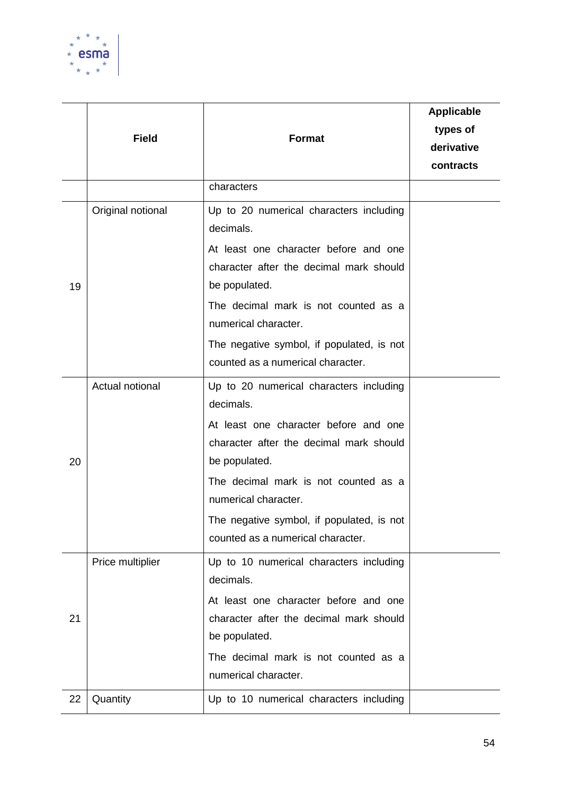

|    | <b>Field</b>      | <b>Format</b>                                                                                                                                                                                                                                                                                               | <b>Applicable</b><br>types of<br>derivative<br>contracts |
|----|-------------------|-------------------------------------------------------------------------------------------------------------------------------------------------------------------------------------------------------------------------------------------------------------------------------------------------------------|----------------------------------------------------------|
|    |                   | characters                                                                                                                                                                                                                                                                                                  |                                                          |
| 19 | Original notional | Up to 20 numerical characters including<br>decimals.<br>At least one character before and one<br>character after the decimal mark should<br>be populated.<br>The decimal mark is not counted as a<br>numerical character.<br>The negative symbol, if populated, is not<br>counted as a numerical character. |                                                          |
| 20 | Actual notional   | Up to 20 numerical characters including<br>decimals.<br>At least one character before and one<br>character after the decimal mark should<br>be populated.<br>The decimal mark is not counted as a<br>numerical character.<br>The negative symbol, if populated, is not<br>counted as a numerical character. |                                                          |
| 21 | Price multiplier  | Up to 10 numerical characters including<br>decimals.<br>At least one character before and one<br>character after the decimal mark should<br>be populated.<br>The decimal mark is not counted as a<br>numerical character.                                                                                   |                                                          |
| 22 | Quantity          | Up to 10 numerical characters including                                                                                                                                                                                                                                                                     |                                                          |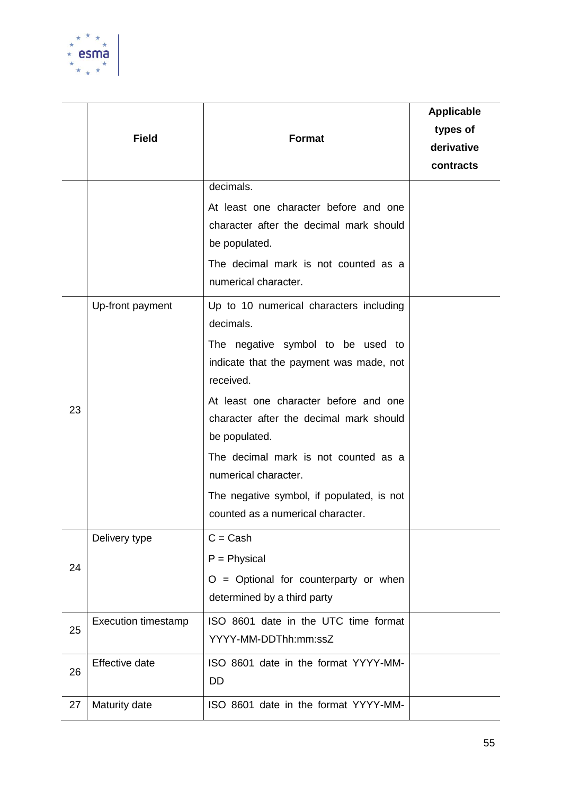

|    | <b>Field</b>               | <b>Format</b>                                                                                     | <b>Applicable</b><br>types of<br>derivative<br>contracts |
|----|----------------------------|---------------------------------------------------------------------------------------------------|----------------------------------------------------------|
|    |                            | decimals.                                                                                         |                                                          |
|    |                            | At least one character before and one<br>character after the decimal mark should<br>be populated. |                                                          |
|    |                            | The decimal mark is not counted as a<br>numerical character.                                      |                                                          |
|    | Up-front payment           | Up to 10 numerical characters including<br>decimals.                                              |                                                          |
| 23 |                            | The negative symbol to be used to<br>indicate that the payment was made, not<br>received.         |                                                          |
|    |                            | At least one character before and one<br>character after the decimal mark should<br>be populated. |                                                          |
|    |                            | The decimal mark is not counted as a<br>numerical character.                                      |                                                          |
|    |                            | The negative symbol, if populated, is not<br>counted as a numerical character.                    |                                                          |
|    | Delivery type              | $C = Cash$                                                                                        |                                                          |
| 24 |                            | $P = Physical$<br>$O =$ Optional for counterparty or when<br>determined by a third party          |                                                          |
| 25 | <b>Execution timestamp</b> | ISO 8601 date in the UTC time format<br>YYYY-MM-DDThh:mm:ssZ                                      |                                                          |
| 26 | <b>Effective date</b>      | ISO 8601 date in the format YYYY-MM-<br>DD                                                        |                                                          |
| 27 | Maturity date              | ISO 8601 date in the format YYYY-MM-                                                              |                                                          |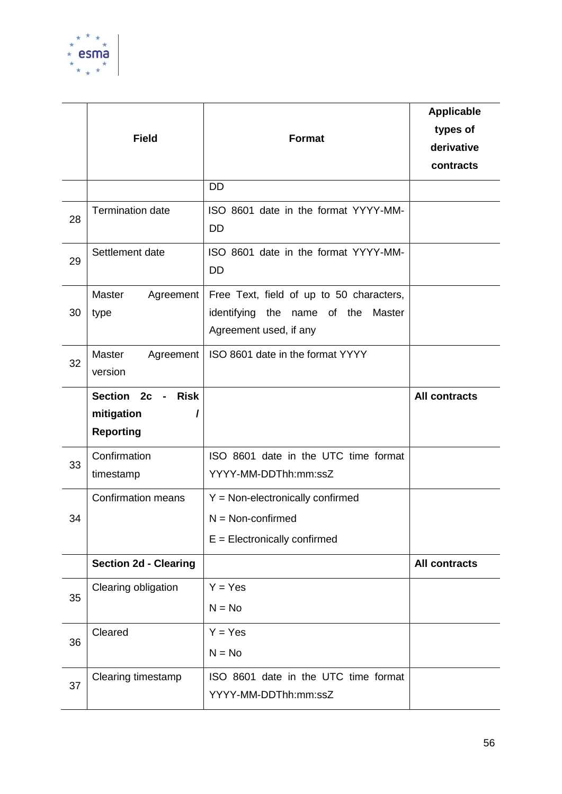

|    | <b>Field</b>                                                                   | <b>Format</b>                                                                                                  | <b>Applicable</b><br>types of<br>derivative<br>contracts |
|----|--------------------------------------------------------------------------------|----------------------------------------------------------------------------------------------------------------|----------------------------------------------------------|
|    |                                                                                | <b>DD</b>                                                                                                      |                                                          |
| 28 | <b>Termination date</b>                                                        | ISO 8601 date in the format YYYY-MM-<br><b>DD</b>                                                              |                                                          |
| 29 | Settlement date                                                                | ISO 8601 date in the format YYYY-MM-<br><b>DD</b>                                                              |                                                          |
| 30 | Master<br>Agreement<br>type                                                    | Free Text, field of up to 50 characters,<br>identifying<br>the name of the<br>Master<br>Agreement used, if any |                                                          |
| 32 | Master<br>Agreement<br>version                                                 | ISO 8601 date in the format YYYY                                                                               |                                                          |
|    | <b>Risk</b><br>Section 2c<br>$\sim 100$<br>mitigation<br>I<br><b>Reporting</b> |                                                                                                                | <b>All contracts</b>                                     |
| 33 | Confirmation<br>timestamp                                                      | ISO 8601 date in the UTC time format<br>YYYY-MM-DDThh:mm:ssZ                                                   |                                                          |
| 34 | <b>Confirmation means</b>                                                      | $Y = Non-electronically confirmed$<br>$N = Non-confirmed$<br>$E = Electronically confirmed$                    |                                                          |
|    | <b>Section 2d - Clearing</b>                                                   |                                                                                                                | <b>All contracts</b>                                     |
| 35 | Clearing obligation                                                            | $Y = Yes$<br>$N = No$                                                                                          |                                                          |
| 36 | Cleared                                                                        | $Y = Yes$<br>$N = No$                                                                                          |                                                          |
| 37 | Clearing timestamp                                                             | ISO 8601 date in the UTC time format<br>YYYY-MM-DDThh:mm:ssZ                                                   |                                                          |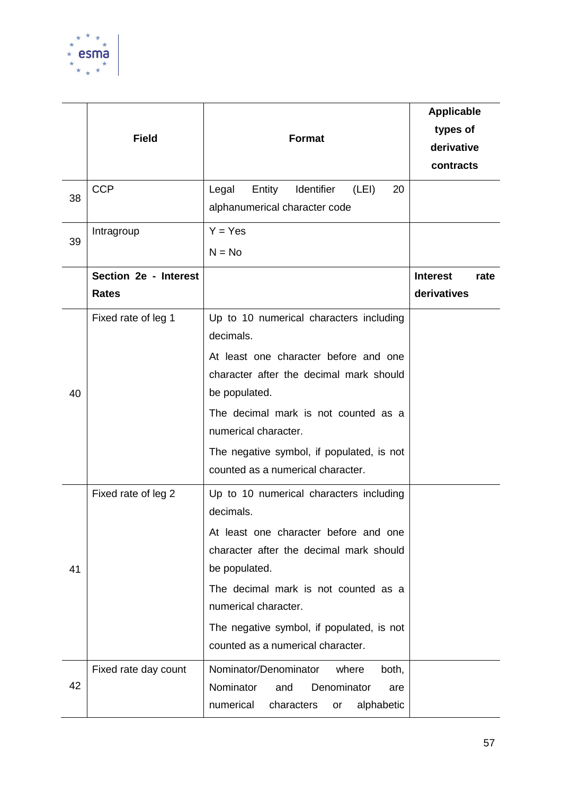

|    | <b>Field</b><br><b>CCP</b>            | <b>Format</b><br>Entity<br>Identifier<br>Legal<br>(LEI)<br>20                                                                    | <b>Applicable</b><br>types of<br>derivative<br>contracts |
|----|---------------------------------------|----------------------------------------------------------------------------------------------------------------------------------|----------------------------------------------------------|
| 38 |                                       | alphanumerical character code                                                                                                    |                                                          |
| 39 | Intragroup                            | $Y = Yes$<br>$N = No$                                                                                                            |                                                          |
|    | Section 2e - Interest<br><b>Rates</b> |                                                                                                                                  | <b>Interest</b><br>rate<br>derivatives                   |
|    | Fixed rate of leg 1                   | Up to 10 numerical characters including<br>decimals.                                                                             |                                                          |
| 40 |                                       | At least one character before and one<br>character after the decimal mark should<br>be populated.                                |                                                          |
|    |                                       | The decimal mark is not counted as a<br>numerical character.                                                                     |                                                          |
|    |                                       | The negative symbol, if populated, is not<br>counted as a numerical character.                                                   |                                                          |
|    | Fixed rate of leg 2                   | Up to 10 numerical characters including<br>decimals.                                                                             |                                                          |
| 41 |                                       | At least one character before and one<br>character after the decimal mark should<br>be populated.                                |                                                          |
|    |                                       | The decimal mark is not counted as a<br>numerical character.                                                                     |                                                          |
|    |                                       | The negative symbol, if populated, is not<br>counted as a numerical character.                                                   |                                                          |
| 42 | Fixed rate day count                  | Nominator/Denominator<br>where<br>both,<br>Nominator<br>Denominator<br>and<br>are<br>numerical<br>characters<br>alphabetic<br>or |                                                          |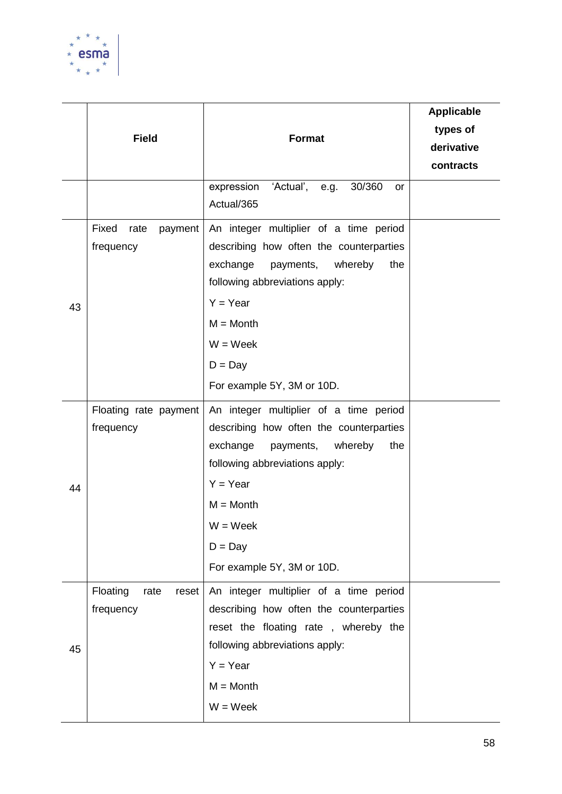

|    | <b>Field</b>                           | <b>Format</b>                                                                                                                                                                                                                                        | <b>Applicable</b><br>types of<br>derivative<br>contracts |
|----|----------------------------------------|------------------------------------------------------------------------------------------------------------------------------------------------------------------------------------------------------------------------------------------------------|----------------------------------------------------------|
|    |                                        | 'Actual', e.g.<br>30/360<br>expression<br>or<br>Actual/365                                                                                                                                                                                           |                                                          |
| 43 | Fixed<br>rate<br>payment<br>frequency  | An integer multiplier of a time period<br>describing how often the counterparties<br>exchange<br>payments,<br>whereby<br>the<br>following abbreviations apply:<br>$Y = Year$<br>$M =$ Month<br>$W = Week$<br>$D = Day$<br>For example 5Y, 3M or 10D. |                                                          |
| 44 | Floating rate payment<br>frequency     | An integer multiplier of a time period<br>describing how often the counterparties<br>exchange<br>payments,<br>whereby<br>the<br>following abbreviations apply:<br>$Y = Year$<br>$M =$ Month<br>$W = Week$<br>$D = Day$<br>For example 5Y, 3M or 10D. |                                                          |
| 45 | Floating<br>rate<br>reset<br>frequency | An integer multiplier of a time period<br>describing how often the counterparties<br>reset the floating rate, whereby the<br>following abbreviations apply:<br>$Y = Year$<br>$M =$ Month<br>$W = Week$                                               |                                                          |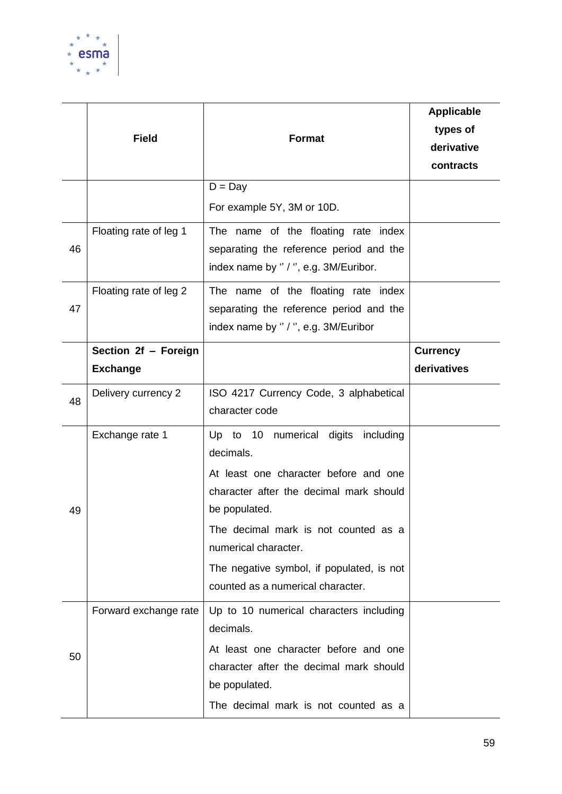

|    | <b>Field</b>                            | <b>Format</b>                                                                                                                                                                                                                                                                                           | <b>Applicable</b><br>types of<br>derivative<br>contracts |
|----|-----------------------------------------|---------------------------------------------------------------------------------------------------------------------------------------------------------------------------------------------------------------------------------------------------------------------------------------------------------|----------------------------------------------------------|
|    |                                         | $D = Day$<br>For example 5Y, 3M or 10D.                                                                                                                                                                                                                                                                 |                                                          |
| 46 | Floating rate of leg 1                  | The name of the floating rate index<br>separating the reference period and the<br>index name by "/", e.g. 3M/Euribor.                                                                                                                                                                                   |                                                          |
| 47 | Floating rate of leg 2                  | The name of the floating rate index<br>separating the reference period and the<br>index name by " / ", e.g. 3M/Euribor                                                                                                                                                                                  |                                                          |
|    | Section 2f - Foreign<br><b>Exchange</b> |                                                                                                                                                                                                                                                                                                         | <b>Currency</b><br>derivatives                           |
| 48 | Delivery currency 2                     | ISO 4217 Currency Code, 3 alphabetical<br>character code                                                                                                                                                                                                                                                |                                                          |
| 49 | Exchange rate 1                         | Up to 10 numerical digits including<br>decimals.<br>At least one character before and one<br>character after the decimal mark should<br>be populated.<br>The decimal mark is not counted as a<br>numerical character.<br>The negative symbol, if populated, is not<br>counted as a numerical character. |                                                          |
| 50 | Forward exchange rate                   | Up to 10 numerical characters including<br>decimals.<br>At least one character before and one<br>character after the decimal mark should<br>be populated.<br>The decimal mark is not counted as a                                                                                                       |                                                          |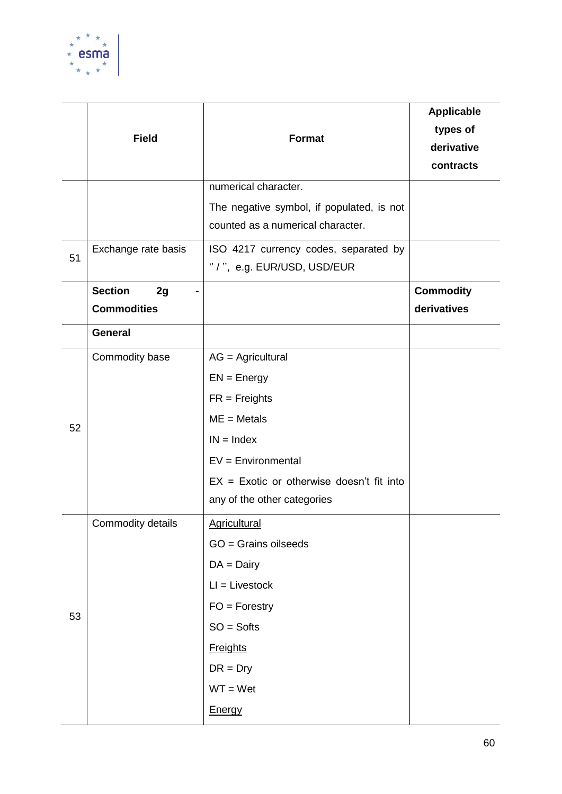

|    | <b>Field</b>                               | <b>Format</b>                                                                  | <b>Applicable</b><br>types of<br>derivative<br>contracts |
|----|--------------------------------------------|--------------------------------------------------------------------------------|----------------------------------------------------------|
|    |                                            | numerical character.                                                           |                                                          |
|    |                                            | The negative symbol, if populated, is not<br>counted as a numerical character. |                                                          |
| 51 | Exchange rate basis                        | ISO 4217 currency codes, separated by<br>"/", e.g. EUR/USD, USD/EUR            |                                                          |
|    | <b>Section</b><br>2g<br><b>Commodities</b> |                                                                                | <b>Commodity</b><br>derivatives                          |
|    | General                                    |                                                                                |                                                          |
|    | Commodity base                             | $AG = Agricultural$                                                            |                                                          |
|    |                                            | $EN = Energy$                                                                  |                                                          |
|    |                                            | $FR = Freights$                                                                |                                                          |
| 52 |                                            | $ME = Metals$                                                                  |                                                          |
|    |                                            | $IN = Index$                                                                   |                                                          |
|    |                                            | $EV = Environment$                                                             |                                                          |
|    |                                            | $EX = Exotic$ or otherwise doesn't fit into                                    |                                                          |
|    |                                            | any of the other categories                                                    |                                                          |
|    | Commodity details                          | <b>Agricultural</b>                                                            |                                                          |
|    |                                            | GO = Grains oilseeds                                                           |                                                          |
|    |                                            | $DA = Daily$                                                                   |                                                          |
|    |                                            | $LI = Livestock$                                                               |                                                          |
| 53 |                                            | $FO = Forestry$                                                                |                                                          |
|    |                                            | $SO =$ Softs                                                                   |                                                          |
|    |                                            | <b>Freights</b>                                                                |                                                          |
|    |                                            | $DR = Dry$                                                                     |                                                          |
|    |                                            | $WT = Wet$                                                                     |                                                          |
|    |                                            | Energy                                                                         |                                                          |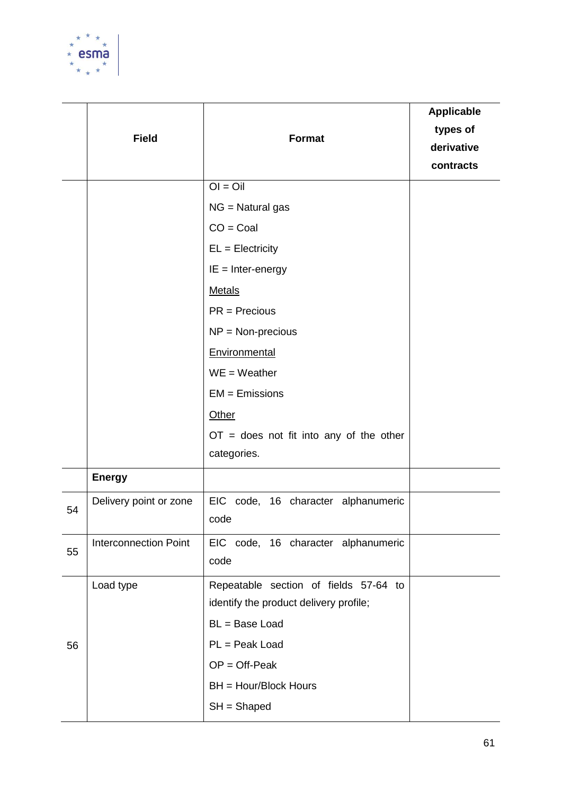

|    | <b>Field</b>                 | <b>Format</b>                                                                                 | <b>Applicable</b><br>types of<br>derivative<br>contracts |
|----|------------------------------|-----------------------------------------------------------------------------------------------|----------------------------------------------------------|
|    |                              | $OI = Oil$                                                                                    |                                                          |
|    |                              | $NG = Natural gas$                                                                            |                                                          |
|    |                              | $CO = Coal$                                                                                   |                                                          |
|    |                              | $EL = Electricity$                                                                            |                                                          |
|    |                              | $IE = Inter-energy$                                                                           |                                                          |
|    |                              | <b>Metals</b>                                                                                 |                                                          |
|    |                              | $PR = Precision$                                                                              |                                                          |
|    |                              | $NP = Non-precision$                                                                          |                                                          |
|    |                              | Environmental                                                                                 |                                                          |
|    |                              | $WE = Weather$                                                                                |                                                          |
|    |                              | $EM = E$ missions                                                                             |                                                          |
|    |                              | Other                                                                                         |                                                          |
|    |                              | $OT =$ does not fit into any of the other<br>categories.                                      |                                                          |
|    | <b>Energy</b>                |                                                                                               |                                                          |
| 54 | Delivery point or zone       | EIC code, 16 character alphanumeric<br>code                                                   |                                                          |
| 55 | <b>Interconnection Point</b> | EIC code, 16 character alphanumeric<br>code                                                   |                                                          |
|    | Load type                    | Repeatable section of fields 57-64 to                                                         |                                                          |
|    |                              |                                                                                               |                                                          |
|    |                              |                                                                                               |                                                          |
|    |                              |                                                                                               |                                                          |
|    |                              | BH = Hour/Block Hours                                                                         |                                                          |
|    |                              | $SH = Shaped$                                                                                 |                                                          |
| 56 |                              | identify the product delivery profile;<br>BL = Base Load<br>PL = Peak Load<br>$OP = Off-Peak$ |                                                          |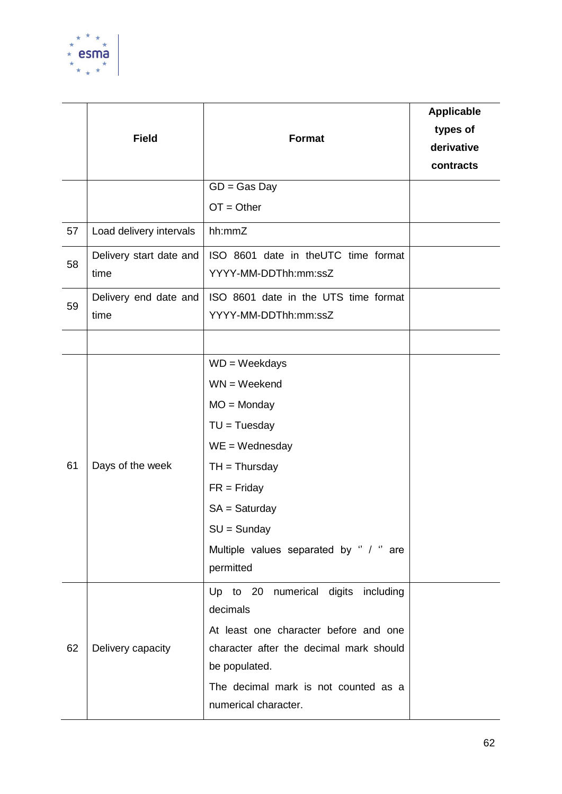

|    | <b>Field</b>                    | <b>Format</b>                                                                                                                                                                                                           | <b>Applicable</b><br>types of<br>derivative<br>contracts |
|----|---------------------------------|-------------------------------------------------------------------------------------------------------------------------------------------------------------------------------------------------------------------------|----------------------------------------------------------|
|    |                                 | $GD = Gas$ Day                                                                                                                                                                                                          |                                                          |
|    |                                 | $OT = Other$                                                                                                                                                                                                            |                                                          |
| 57 | Load delivery intervals         | hh:mmZ                                                                                                                                                                                                                  |                                                          |
| 58 | Delivery start date and<br>time | ISO 8601 date in theUTC time format<br>YYYY-MM-DDThh:mm:ssZ                                                                                                                                                             |                                                          |
| 59 | Delivery end date and<br>time   | ISO 8601 date in the UTS time format<br>YYYY-MM-DDThh:mm:ssZ                                                                                                                                                            |                                                          |
|    |                                 |                                                                                                                                                                                                                         |                                                          |
| 61 | Days of the week                | $WD = Weekdays$<br>$WN = Weekend$<br>$MO = Monday$<br>$TU = Tuesday$<br>$WE = Wednesday$<br>$TH = Thursday$<br>$FR = Friday$<br>$SA = Saturday$<br>$SU =$ Sunday<br>Multiple values separated by " / " are<br>permitted |                                                          |
| 62 | Delivery capacity               | Up to 20 numerical digits including<br>decimals<br>At least one character before and one<br>character after the decimal mark should<br>be populated.<br>The decimal mark is not counted as a<br>numerical character.    |                                                          |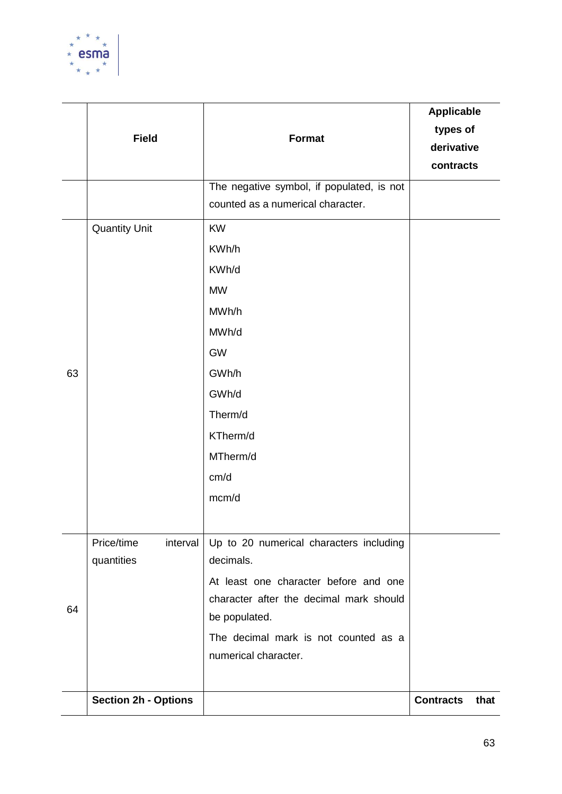

| 63 | <b>Field</b><br><b>Quantity Unit</b> | <b>Format</b><br>The negative symbol, if populated, is not<br>counted as a numerical character.<br><b>KW</b><br>KWh/h<br>KWh/d<br><b>MW</b><br>MWh/h<br>MWh/d<br><b>GW</b><br>GWh/h<br>GWh/d<br>Therm/d<br>KTherm/d<br>MTherm/d<br>cm/d<br>mcm/d | <b>Applicable</b><br>types of<br>derivative<br>contracts |      |
|----|--------------------------------------|--------------------------------------------------------------------------------------------------------------------------------------------------------------------------------------------------------------------------------------------------|----------------------------------------------------------|------|
| 64 | Price/time<br>interval<br>quantities | Up to 20 numerical characters including<br>decimals.<br>At least one character before and one<br>character after the decimal mark should<br>be populated.<br>The decimal mark is not counted as a<br>numerical character.                        |                                                          |      |
|    | <b>Section 2h - Options</b>          |                                                                                                                                                                                                                                                  | <b>Contracts</b>                                         | that |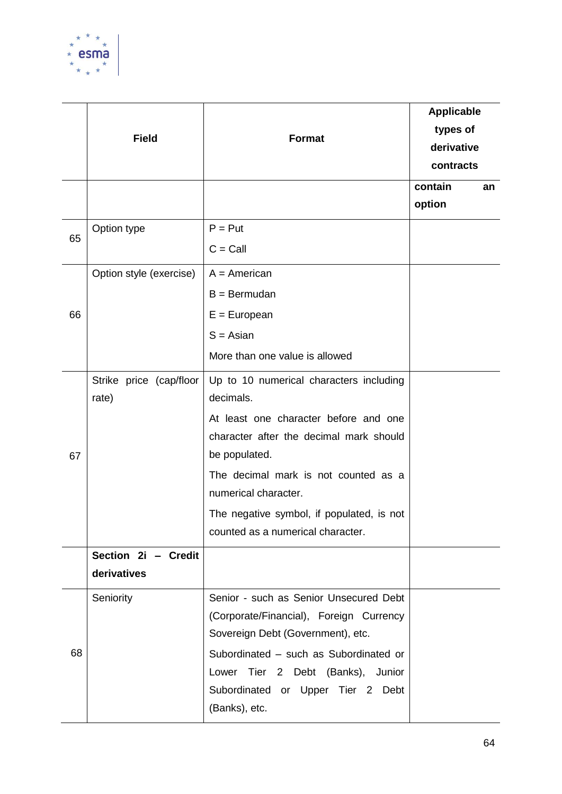

|    | <b>Field</b>                       | <b>Format</b>                                                                                                                                                                                                                                                                                               | <b>Applicable</b><br>types of<br>derivative<br>contracts |
|----|------------------------------------|-------------------------------------------------------------------------------------------------------------------------------------------------------------------------------------------------------------------------------------------------------------------------------------------------------------|----------------------------------------------------------|
|    |                                    |                                                                                                                                                                                                                                                                                                             | contain<br>an<br>option                                  |
| 65 | Option type                        | $P = Put$<br>$C =$ Call                                                                                                                                                                                                                                                                                     |                                                          |
| 66 | Option style (exercise)            | $A = American$<br>$B = Bermudan$<br>$E = European$<br>$S = Asian$<br>More than one value is allowed                                                                                                                                                                                                         |                                                          |
| 67 | Strike price (cap/floor<br>rate)   | Up to 10 numerical characters including<br>decimals.<br>At least one character before and one<br>character after the decimal mark should<br>be populated.<br>The decimal mark is not counted as a<br>numerical character.<br>The negative symbol, if populated, is not<br>counted as a numerical character. |                                                          |
|    | Section 2i - Credit<br>derivatives |                                                                                                                                                                                                                                                                                                             |                                                          |
| 68 | Seniority                          | Senior - such as Senior Unsecured Debt<br>(Corporate/Financial), Foreign Currency<br>Sovereign Debt (Government), etc.<br>Subordinated - such as Subordinated or<br>Tier 2 Debt (Banks), Junior<br>Lower<br>Subordinated or Upper Tier 2 Debt<br>(Banks), etc.                                              |                                                          |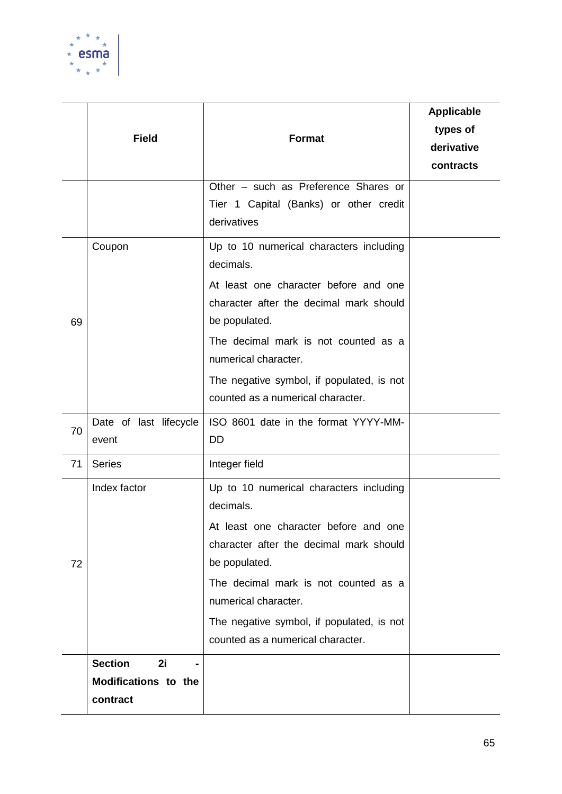

|    | <b>Field</b>                                                               | <b>Format</b><br>Other - such as Preference Shares or<br>Tier 1 Capital (Banks) or other credit<br>derivatives                                                                                                                                                                                              | <b>Applicable</b><br>types of<br>derivative<br>contracts |
|----|----------------------------------------------------------------------------|-------------------------------------------------------------------------------------------------------------------------------------------------------------------------------------------------------------------------------------------------------------------------------------------------------------|----------------------------------------------------------|
| 69 | Coupon                                                                     | Up to 10 numerical characters including<br>decimals.<br>At least one character before and one<br>character after the decimal mark should<br>be populated.<br>The decimal mark is not counted as a<br>numerical character.<br>The negative symbol, if populated, is not<br>counted as a numerical character. |                                                          |
| 70 | Date of last lifecycle<br>event                                            | ISO 8601 date in the format YYYY-MM-<br><b>DD</b>                                                                                                                                                                                                                                                           |                                                          |
| 71 | <b>Series</b>                                                              | Integer field                                                                                                                                                                                                                                                                                               |                                                          |
| 72 | Index factor                                                               | Up to 10 numerical characters including<br>decimals.<br>At least one character before and one<br>character after the decimal mark should<br>be populated.<br>The decimal mark is not counted as a<br>numerical character.<br>The negative symbol, if populated, is not<br>counted as a numerical character. |                                                          |
|    | <b>Section</b><br>2i<br>$\blacksquare$<br>Modifications to the<br>contract |                                                                                                                                                                                                                                                                                                             |                                                          |